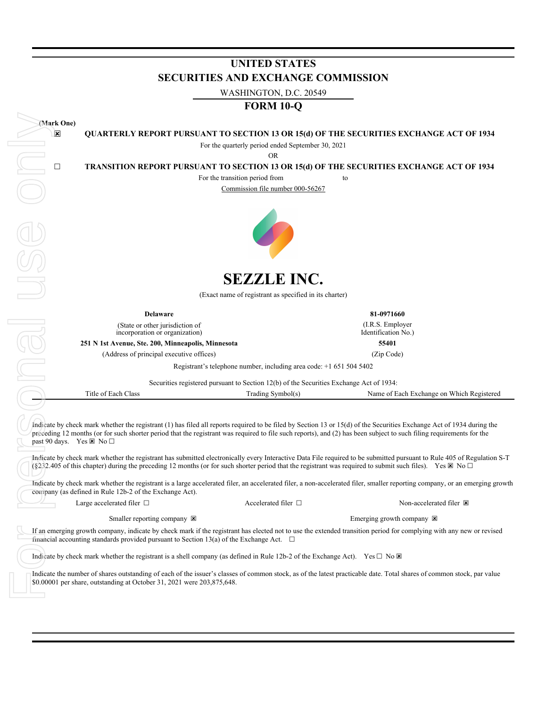|                         |                                                                                                  | 0.02.2021 VITO                                                                                                                             |                                                                                                                                                                                                                                                                                                                                                                                                                                                                                                                                                                                                                                                                                                       |
|-------------------------|--------------------------------------------------------------------------------------------------|--------------------------------------------------------------------------------------------------------------------------------------------|-------------------------------------------------------------------------------------------------------------------------------------------------------------------------------------------------------------------------------------------------------------------------------------------------------------------------------------------------------------------------------------------------------------------------------------------------------------------------------------------------------------------------------------------------------------------------------------------------------------------------------------------------------------------------------------------------------|
|                         |                                                                                                  | <b>FORM 10-Q</b>                                                                                                                           |                                                                                                                                                                                                                                                                                                                                                                                                                                                                                                                                                                                                                                                                                                       |
| (Mark One)              |                                                                                                  |                                                                                                                                            |                                                                                                                                                                                                                                                                                                                                                                                                                                                                                                                                                                                                                                                                                                       |
| $\overline{\mathbf{x}}$ |                                                                                                  |                                                                                                                                            | QUARTERLY REPORT PURSUANT TO SECTION 13 OR 15(d) OF THE SECURITIES EXCHANGE ACT OF 1934                                                                                                                                                                                                                                                                                                                                                                                                                                                                                                                                                                                                               |
|                         |                                                                                                  | For the quarterly period ended September 30, 2021                                                                                          |                                                                                                                                                                                                                                                                                                                                                                                                                                                                                                                                                                                                                                                                                                       |
|                         |                                                                                                  | <b>OR</b>                                                                                                                                  |                                                                                                                                                                                                                                                                                                                                                                                                                                                                                                                                                                                                                                                                                                       |
| $\Box$                  |                                                                                                  | For the transition period from                                                                                                             | TRANSITION REPORT PURSUANT TO SECTION 13 OR 15(d) OF THE SECURITIES EXCHANGE ACT OF 1934<br>to                                                                                                                                                                                                                                                                                                                                                                                                                                                                                                                                                                                                        |
|                         |                                                                                                  | Commission file number 000-56267                                                                                                           |                                                                                                                                                                                                                                                                                                                                                                                                                                                                                                                                                                                                                                                                                                       |
|                         |                                                                                                  |                                                                                                                                            |                                                                                                                                                                                                                                                                                                                                                                                                                                                                                                                                                                                                                                                                                                       |
|                         |                                                                                                  |                                                                                                                                            |                                                                                                                                                                                                                                                                                                                                                                                                                                                                                                                                                                                                                                                                                                       |
|                         |                                                                                                  |                                                                                                                                            |                                                                                                                                                                                                                                                                                                                                                                                                                                                                                                                                                                                                                                                                                                       |
|                         |                                                                                                  |                                                                                                                                            |                                                                                                                                                                                                                                                                                                                                                                                                                                                                                                                                                                                                                                                                                                       |
|                         |                                                                                                  |                                                                                                                                            |                                                                                                                                                                                                                                                                                                                                                                                                                                                                                                                                                                                                                                                                                                       |
|                         |                                                                                                  | <b>SEZZLE INC.</b>                                                                                                                         |                                                                                                                                                                                                                                                                                                                                                                                                                                                                                                                                                                                                                                                                                                       |
|                         |                                                                                                  | (Exact name of registrant as specified in its charter)                                                                                     |                                                                                                                                                                                                                                                                                                                                                                                                                                                                                                                                                                                                                                                                                                       |
|                         | <b>Delaware</b>                                                                                  |                                                                                                                                            | 81-0971660                                                                                                                                                                                                                                                                                                                                                                                                                                                                                                                                                                                                                                                                                            |
|                         | (State or other jurisdiction of                                                                  |                                                                                                                                            | (I.R.S. Employer                                                                                                                                                                                                                                                                                                                                                                                                                                                                                                                                                                                                                                                                                      |
|                         | incorporation or organization)<br>251 N 1st Avenue, Ste. 200, Minneapolis, Minnesota             |                                                                                                                                            | Identification No.)<br>55401                                                                                                                                                                                                                                                                                                                                                                                                                                                                                                                                                                                                                                                                          |
|                         | (Address of principal executive offices)                                                         |                                                                                                                                            | (Zip Code)                                                                                                                                                                                                                                                                                                                                                                                                                                                                                                                                                                                                                                                                                            |
|                         |                                                                                                  | Registrant's telephone number, including area code: $+1$ 651 504 5402                                                                      |                                                                                                                                                                                                                                                                                                                                                                                                                                                                                                                                                                                                                                                                                                       |
|                         |                                                                                                  | Securities registered pursuant to Section 12(b) of the Securities Exchange Act of 1934:                                                    |                                                                                                                                                                                                                                                                                                                                                                                                                                                                                                                                                                                                                                                                                                       |
|                         | Title of Each Class                                                                              | Trading Symbol(s)                                                                                                                          | Name of Each Exchange on Which Registered                                                                                                                                                                                                                                                                                                                                                                                                                                                                                                                                                                                                                                                             |
|                         |                                                                                                  |                                                                                                                                            |                                                                                                                                                                                                                                                                                                                                                                                                                                                                                                                                                                                                                                                                                                       |
|                         | past 90 days. Yes $\boxtimes$ No $\square$                                                       |                                                                                                                                            | Indicate by check mark whether the registrant (1) has filed all reports required to be filed by Section 13 or 15(d) of the Securities Exchange Act of 1934 during the<br>preceding 12 months (or for such shorter period that the registrant was required to file such reports), and (2) has been subject to such filing requirements for the<br>Indicate by check mark whether the registrant has submitted electronically every Interactive Data File required to be submitted pursuant to Rule 405 of Regulation S-T<br>(§232.405 of this chapter) during the preceding 12 months (or for such shorter period that the registrant was required to submit such files). Yes $\boxtimes$ No $\square$ |
|                         | company (as defined in Rule 12b-2 of the Exchange Act).                                          |                                                                                                                                            | Indicate by check mark whether the registrant is a large accelerated filer, an accelerated filer, a non-accelerated filer, smaller reporting company, or an emerging growth                                                                                                                                                                                                                                                                                                                                                                                                                                                                                                                           |
|                         | Large accelerated filer $\Box$                                                                   | Accelerated filer $\Box$                                                                                                                   | Non-accelerated filer E                                                                                                                                                                                                                                                                                                                                                                                                                                                                                                                                                                                                                                                                               |
|                         | Smaller reporting company $\boxtimes$                                                            |                                                                                                                                            | Emerging growth company $\boxtimes$                                                                                                                                                                                                                                                                                                                                                                                                                                                                                                                                                                                                                                                                   |
|                         | financial accounting standards provided pursuant to Section 13(a) of the Exchange Act. $\square$ |                                                                                                                                            | If an emerging growth company, indicate by check mark if the registrant has elected not to use the extended transition period for complying with any new or revised                                                                                                                                                                                                                                                                                                                                                                                                                                                                                                                                   |
|                         |                                                                                                  | Indicate by check mark whether the registrant is a shell company (as defined in Rule 12b-2 of the Exchange Act). Yes $\Box$ No $\boxtimes$ |                                                                                                                                                                                                                                                                                                                                                                                                                                                                                                                                                                                                                                                                                                       |
|                         | \$0.00001 per share, outstanding at October 31, 2021 were 203,875,648.                           |                                                                                                                                            | Indicate the number of shares outstanding of each of the issuer's classes of common stock, as of the latest practicable date. Total shares of common stock, par value                                                                                                                                                                                                                                                                                                                                                                                                                                                                                                                                 |

# **UNITED STATES SECURITIES AND EXCHANGE COMMISSION**

WASHINGTON, D.C. 20549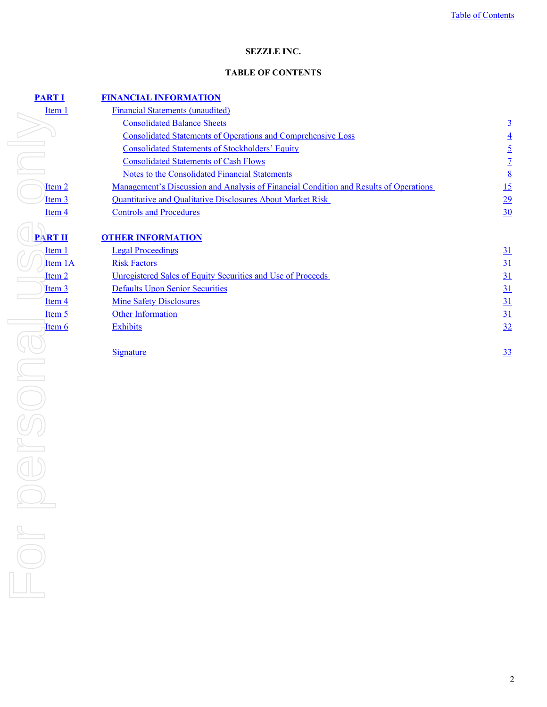# **SEZZLE INC.**

### **TABLE OF CONTENTS**

<span id="page-1-0"></span>

| <b>RTI</b>        | <b>FINANCIAL INFORMATION</b>                                                                 |                  |
|-------------------|----------------------------------------------------------------------------------------------|------------------|
| Item 1            | <b>Financial Statements (unaudited)</b>                                                      |                  |
|                   | <b>Consolidated Balance Sheets</b>                                                           | $\overline{3}$   |
|                   | <b>Consolidated Statements of Operations and Comprehensive Loss</b>                          | $\overline{4}$   |
|                   | <b>Consolidated Statements of Stockholders' Equity</b>                                       | $\overline{2}$   |
|                   | <b>Consolidated Statements of Cash Flows</b>                                                 | $\overline{1}$   |
|                   | <b>Notes to the Consolidated Financial Statements</b>                                        | 8                |
| Item <sub>2</sub> | <u>Management's Discussion and Analysis of Financial Condition and Results of Operations</u> | 15               |
| <u>Item 3</u>     | <b>Quantitative and Qualitative Disclosures About Market Risk</b>                            | 29               |
| Item 4            | <b>Controls and Procedures</b>                                                               | 30               |
| <b>RT II</b>      | <b>OTHER INFORMATION</b>                                                                     |                  |
| Item 1            | <b>Legal Proceedings</b>                                                                     | $\underline{31}$ |
| Item 1A           | <b>Risk Factors</b>                                                                          | <u>31</u>        |
| Item <sub>2</sub> | Unregistered Sales of Equity Securities and Use of Proceeds                                  | <u>31</u>        |
| <u>Item 3</u>     | <b>Defaults Upon Senior Securities</b>                                                       | 31               |
| Item <sub>4</sub> | <b>Mine Safety Disclosures</b>                                                               | 31               |
| <u>Item 5</u>     | <b>Other Information</b>                                                                     | 31               |
| Item 6            | <b>Exhibits</b>                                                                              | 32               |
|                   | <b>Signature</b>                                                                             | <u>33</u>        |
|                   |                                                                                              |                  |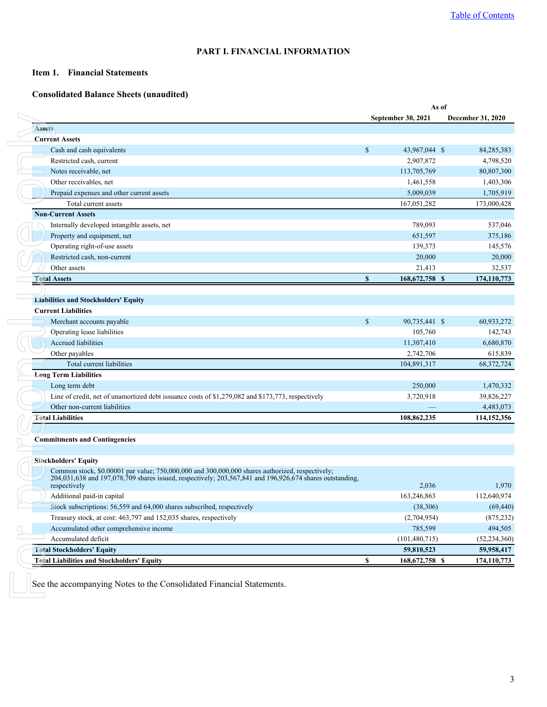# **PART I. FINANCIAL INFORMATION**

### <span id="page-2-0"></span>**Item 1. Financial Statements**

### **Consolidated Balance Sheets (unaudited)**

|                                                                                                                                                                                                                             |             |                           | As of |                   |
|-----------------------------------------------------------------------------------------------------------------------------------------------------------------------------------------------------------------------------|-------------|---------------------------|-------|-------------------|
|                                                                                                                                                                                                                             |             | <b>September 30, 2021</b> |       | December 31, 2020 |
| <b>Assets</b>                                                                                                                                                                                                               |             |                           |       |                   |
| <b>Current Assets</b>                                                                                                                                                                                                       |             |                           |       |                   |
| Cash and cash equivalents                                                                                                                                                                                                   | $\mathbf S$ | 43,967,044 \$             |       | 84,285,383        |
| Restricted cash, current                                                                                                                                                                                                    |             | 2,907,872                 |       | 4,798,520         |
| Notes receivable, net                                                                                                                                                                                                       |             | 113,705,769               |       | 80,807,300        |
| Other receivables, net                                                                                                                                                                                                      |             | 1,461,558                 |       | 1,403,306         |
| Prepaid expenses and other current assets                                                                                                                                                                                   |             | 5,009,039                 |       | 1,705,919         |
| Total current assets                                                                                                                                                                                                        |             | 167,051,282               |       | 173,000,428       |
| <b>Non-Current Assets</b>                                                                                                                                                                                                   |             |                           |       |                   |
| Internally developed intangible assets, net                                                                                                                                                                                 |             | 789,093                   |       | 537,046           |
| Property and equipment, net                                                                                                                                                                                                 |             | 651,597                   |       | 375,186           |
| Operating right-of-use assets                                                                                                                                                                                               |             | 139,373                   |       | 145,576           |
| Restricted cash, non-current                                                                                                                                                                                                |             | 20,000                    |       | 20,000            |
| Other assets                                                                                                                                                                                                                |             | 21,413                    |       | 32,537            |
| <b>Total Assets</b>                                                                                                                                                                                                         | S           | 168, 672, 758 \$          |       | 174,110,773       |
|                                                                                                                                                                                                                             |             |                           |       |                   |
| <b>Liabilities and Stockholders' Equity</b>                                                                                                                                                                                 |             |                           |       |                   |
| <b>Current Liabilities</b>                                                                                                                                                                                                  |             |                           |       |                   |
| Merchant accounts payable                                                                                                                                                                                                   | $\mathbf S$ | 90,735,441 \$             |       | 60,933,272        |
| Operating lease liabilities                                                                                                                                                                                                 |             | 105,760                   |       | 142,743           |
| Accrued liabilities                                                                                                                                                                                                         |             | 11,307,410                |       | 6,680,870         |
| Other payables                                                                                                                                                                                                              |             | 2,742,706                 |       | 615,839           |
| Total current liabilities                                                                                                                                                                                                   |             | 104,891,317               |       | 68, 372, 724      |
| <b>Long Term Liabilities</b>                                                                                                                                                                                                |             |                           |       |                   |
| Long term debt                                                                                                                                                                                                              |             | 250,000                   |       | 1,470,332         |
| Line of credit, net of unamortized debt issuance costs of \$1,279,082 and \$173,773, respectively                                                                                                                           |             | 3,720,918                 |       | 39,826,227        |
| Other non-current liabilities                                                                                                                                                                                               |             |                           |       | 4,483,073         |
| <b>Total Liabilities</b>                                                                                                                                                                                                    |             | 108,862,235               |       | 114,152,356       |
|                                                                                                                                                                                                                             |             |                           |       |                   |
| <b>Commitments and Contingencies</b>                                                                                                                                                                                        |             |                           |       |                   |
| <b>Stockholders' Equity</b>                                                                                                                                                                                                 |             |                           |       |                   |
| Common stock, \$0.00001 par value; 750,000,000 and 300,000,000 shares authorized, respectively;<br>204,031,638 and 197,078,709 shares issued, respectively; 203,567,841 and 196,926,674 shares outstanding,<br>respectively |             | 2,036                     |       |                   |
| Additional paid-in capital                                                                                                                                                                                                  |             | 163,246,863               |       | 112,640,974       |
| Stock subscriptions: 56,559 and 64,000 shares subscribed, respectively                                                                                                                                                      |             | (38, 306)                 |       | (69, 440)         |
|                                                                                                                                                                                                                             |             |                           |       |                   |
| Treasury stock, at cost: 463,797 and 152,035 shares, respectively                                                                                                                                                           |             | (2,704,954)               |       | (875, 232)        |
| Accumulated other comprehensive income                                                                                                                                                                                      |             | 785,599                   |       | 494,505           |
|                                                                                                                                                                                                                             |             | (101, 480, 715)           |       | (52, 234, 360)    |
| Accumulated deficit                                                                                                                                                                                                         |             | 59,810,523                |       | 59,958,417        |
| <b>Total Stockholders' Equity</b><br><b>Total Liabilities and Stockholders' Equity</b>                                                                                                                                      | \$          | 168,672,758 \$            |       | 174,110,773       |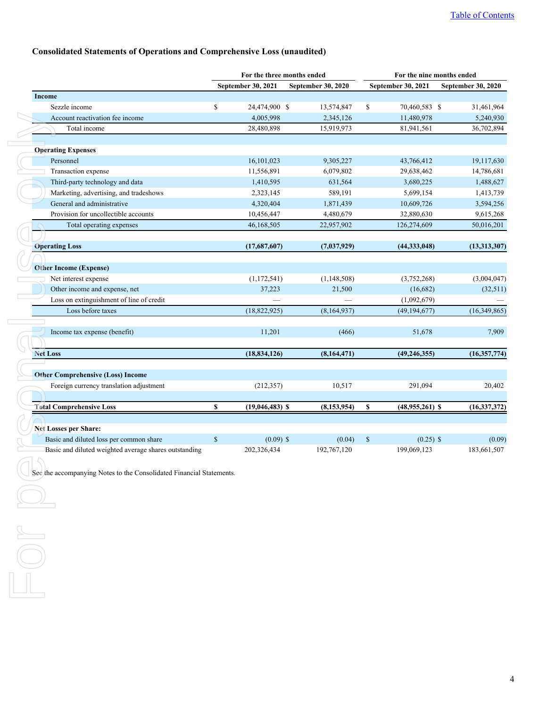# <span id="page-3-0"></span>**Consolidated Statements of Operations and Comprehensive Loss (unaudited)**

|                                                                         | For the three months ended |                    |                           |    | For the nine months ended |                    |                |
|-------------------------------------------------------------------------|----------------------------|--------------------|---------------------------|----|---------------------------|--------------------|----------------|
|                                                                         |                            | September 30, 2021 | <b>September 30, 2020</b> |    | <b>September 30, 2021</b> | September 30, 2020 |                |
| Income                                                                  |                            |                    |                           |    |                           |                    |                |
| Sezzle income                                                           | \$                         | 24,474,900 \$      | 13,574,847                | \$ | 70,460,583 \$             |                    | 31,461,964     |
| Account reactivation fee income                                         |                            | 4,005,998          | 2,345,126                 |    | 11,480,978                |                    | 5,240,930      |
| Total income                                                            |                            | 28,480,898         | 15,919,973                |    | 81,941,561                |                    | 36,702,894     |
| <b>Operating Expenses</b>                                               |                            |                    |                           |    |                           |                    |                |
| Personnel                                                               |                            | 16,101,023         | 9,305,227                 |    | 43,766,412                |                    | 19,117,630     |
| Transaction expense                                                     |                            | 11,556,891         | 6,079,802                 |    | 29,638,462                |                    | 14,786,681     |
| Third-party technology and data                                         |                            | 1,410,595          | 631,564                   |    | 3,680,225                 |                    | 1,488,627      |
| Marketing, advertising, and tradeshows                                  |                            | 2,323,145          | 589,191                   |    | 5,699,154                 |                    | 1,413,739      |
| General and administrative                                              |                            | 4,320,404          | 1,871,439                 |    | 10,609,726                |                    | 3,594,256      |
| Provision for uncollectible accounts                                    |                            | 10,456,447         | 4,480,679                 |    | 32,880,630                |                    | 9,615,268      |
| Total operating expenses                                                |                            | 46,168,505         | 22,957,902                |    | 126,274,609               |                    | 50,016,201     |
| <b>Operating Loss</b>                                                   |                            | (17,687,607)       | (7,037,929)               |    | (44, 333, 048)            |                    | (13,313,307)   |
|                                                                         |                            |                    |                           |    |                           |                    |                |
| <b>Other Income (Expense)</b>                                           |                            |                    |                           |    |                           |                    |                |
| Net interest expense                                                    |                            | (1,172,541)        | (1,148,508)               |    | (3,752,268)               |                    | (3,004,047)    |
| Other income and expense, net                                           |                            | 37,223             | 21,500                    |    | (16,682)                  |                    | (32,511)       |
| Loss on extinguishment of line of credit                                |                            |                    |                           |    | (1,092,679)               |                    |                |
| Loss before taxes                                                       |                            | (18, 822, 925)     | (8,164,937)               |    | (49, 194, 677)            |                    | (16, 349, 865) |
| Income tax expense (benefit)                                            |                            | 11,201             | (466)                     |    | 51,678                    |                    | 7,909          |
|                                                                         |                            |                    |                           |    |                           |                    |                |
| <b>Net Loss</b>                                                         |                            | (18, 834, 126)     | (8,164,471)               |    | (49, 246, 355)            |                    | (16, 357, 774) |
|                                                                         |                            |                    |                           |    |                           |                    |                |
| <b>Other Comprehensive (Loss) Income</b>                                |                            |                    |                           |    |                           |                    |                |
| Foreign currency translation adjustment                                 |                            | (212, 357)         | 10,517                    |    | 291,094                   |                    | 20,402         |
| <b>Total Comprehensive Loss</b>                                         | \$                         | $(19,046,483)$ \$  | (8, 153, 954)             | \$ | $(48,955,261)$ \$         |                    | (16, 337, 372) |
|                                                                         |                            |                    |                           |    |                           |                    |                |
|                                                                         |                            |                    |                           |    |                           |                    |                |
| <b>Net Losses per Share:</b><br>Basic and diluted loss per common share | \$                         | $(0.09)$ \$        | (0.04)                    | \$ | $(0.25)$ \$               |                    | (0.09)         |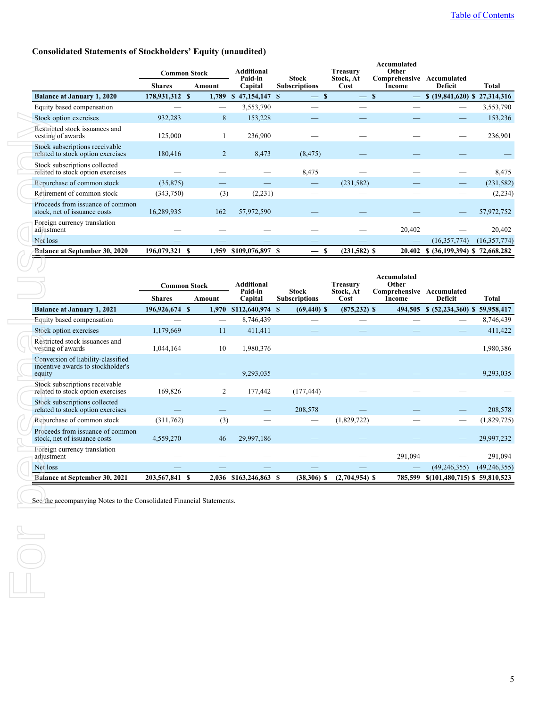# <span id="page-4-0"></span>**Consolidated Statements of Stockholders' Equity (unaudited)**

|                                                                     | <b>Common Stock</b> |                | <b>Additional</b><br>Paid-in  |                                      | <b>Treasury</b>                      | Accumulated<br>Other                |                               |                |
|---------------------------------------------------------------------|---------------------|----------------|-------------------------------|--------------------------------------|--------------------------------------|-------------------------------------|-------------------------------|----------------|
|                                                                     | <b>Shares</b>       | Amount         | Capital                       | <b>Stock</b><br><b>Subscriptions</b> | Stock, At<br>Cost                    | Comprehensive Accumulated<br>Income | Deficit                       | Total          |
| <b>Balance at January 1, 2020</b>                                   | 178,931,312 \$      | 1,789          | 47,154,147 \$<br>$\mathbf{s}$ | $\overline{\phantom{0}}$             | <b>S</b><br>$\overline{\phantom{0}}$ | S                                   | \$ (19,841,620) \$ 27,314,316 |                |
| Equity based compensation                                           |                     |                | 3,553,790                     |                                      |                                      |                                     |                               | 3,553,790      |
| Stock option exercises                                              | 932,283             | 8              | 153,228                       |                                      |                                      |                                     |                               | 153,236        |
| Restricted stock issuances and<br>vesting of awards                 | 125,000             |                | 236,900                       |                                      |                                      |                                     |                               | 236,901        |
| Stock subscriptions receivable<br>related to stock option exercises | 180,416             | $\overline{2}$ | 8,473                         | (8, 475)                             |                                      |                                     |                               |                |
| Stock subscriptions collected<br>related to stock option exercises  |                     |                |                               | 8,475                                |                                      |                                     |                               | 8,475          |
| Repurchase of common stock                                          | (35, 875)           |                |                               |                                      | (231, 582)                           |                                     |                               | (231, 582)     |
| Retirement of common stock                                          | (343,750)           | (3)            | (2,231)                       |                                      |                                      |                                     |                               | (2, 234)       |
| Proceeds from issuance of common<br>stock, net of issuance costs    | 16,289,935          | 162            | 57,972,590                    |                                      |                                      |                                     |                               | 57,972,752     |
| Foreign currency translation<br>adjustment                          |                     |                |                               |                                      |                                      | 20,402                              |                               | 20,402         |
| Net loss                                                            |                     |                |                               |                                      |                                      |                                     | (16,357,774)                  | (16, 357, 774) |
| <b>Balance at September 30, 2020</b>                                | 196,079,321<br>-S   | 1,959          | \$109,076,897 \$              |                                      | $(231,582)$ \$<br>S                  | 20,402                              |                               | 72,668,282     |

|  | Stock option exercises                                                            | 932,283                              | 8                        | 153,228                          |                                           |                                      |                                                             |                                      | 153,236        |
|--|-----------------------------------------------------------------------------------|--------------------------------------|--------------------------|----------------------------------|-------------------------------------------|--------------------------------------|-------------------------------------------------------------|--------------------------------------|----------------|
|  | Restricted stock issuances and<br>vesting of awards                               | 125,000                              | -1                       | 236,900                          |                                           |                                      |                                                             |                                      | 236,901        |
|  | Stock subscriptions receivable<br>related to stock option exercises               | 180,416                              | $\overline{2}$           | 8,473                            | (8, 475)                                  |                                      |                                                             |                                      |                |
|  | Stock subscriptions collected<br>related to stock option exercises                |                                      |                          |                                  | 8,475                                     |                                      |                                                             |                                      | 8,475          |
|  | Repurchase of common stock                                                        | (35, 875)                            |                          |                                  | $\overline{\phantom{0}}$                  | (231, 582)                           |                                                             |                                      | (231, 582)     |
|  | Retirement of common stock                                                        | (343,750)                            | (3)                      | (2,231)                          |                                           |                                      |                                                             |                                      | (2, 234)       |
|  | Proceeds from issuance of common<br>stock, net of issuance costs                  | 16,289,935                           | 162                      | 57,972,590                       |                                           |                                      |                                                             |                                      | 57,972,752     |
|  | Foreign currency translation<br>adjustment                                        |                                      |                          |                                  |                                           |                                      | 20,402                                                      |                                      | 20,402         |
|  | Net loss                                                                          |                                      |                          |                                  |                                           |                                      |                                                             | (16, 357, 774)                       | (16,357,774)   |
|  | Balance at September 30, 2020                                                     | 196,079,321 \$                       |                          | 1,959 \$109,076,897 \$           | <sup>\$</sup><br>$\overline{\phantom{0}}$ | $(231,582)$ \$                       |                                                             | 20,402 \$ (36,199,394) \$ 72,668,282 |                |
|  |                                                                                   | <b>Common Stock</b><br><b>Shares</b> | Amount                   | Additional<br>Paid-in<br>Capital | <b>Stock</b><br><b>Subscriptions</b>      | <b>Treasury</b><br>Stock, At<br>Cost | Accumulated<br>Other<br>Comprehensive Accumulated<br>Income | Deficit                              | <b>Total</b>   |
|  | <b>Balance at January 1, 2021</b>                                                 | 196,926,674 \$                       |                          | 1,970 \$112,640,974 \$           | $(69, 440)$ \$                            | $(875, 232)$ \$                      |                                                             | 494,505 \$ (52,234,360) \$           | 59,958,417     |
|  | Equity based compensation                                                         |                                      | $\overline{\phantom{0}}$ | 8,746,439                        |                                           |                                      |                                                             |                                      | 8,746,439      |
|  | Stock option exercises                                                            | 1,179,669                            | 11                       | 411,411                          |                                           |                                      |                                                             |                                      | 411,422        |
|  | Restricted stock issuances and<br>vesting of awards                               | 1,044,164                            | 10                       | 1,980,376                        |                                           |                                      |                                                             |                                      | 1,980,386      |
|  | Conversion of liability-classified<br>incentive awards to stockholder's<br>equity |                                      |                          | 9,293,035                        |                                           |                                      |                                                             |                                      | 9,293,035      |
|  | Stock subscriptions receivable<br>related to stock option exercises               | 169,826                              | 2                        | 177,442                          | (177, 444)                                |                                      |                                                             |                                      |                |
|  | Stock subscriptions collected<br>related to stock option exercises                |                                      |                          |                                  | 208,578                                   |                                      |                                                             |                                      | 208,578        |
|  | Repurchase of common stock                                                        | (311,762)                            | (3)                      |                                  | $\overline{\phantom{0}}$                  | (1,829,722)                          |                                                             |                                      | (1,829,725)    |
|  | Proceeds from issuance of common<br>stock, net of issuance costs                  | 4,559,270                            | 46                       | 29,997,186                       |                                           |                                      |                                                             |                                      | 29,997,232     |
|  | Foreign currency translation<br>adjustment                                        |                                      |                          |                                  |                                           |                                      | 291,094                                                     |                                      | 291,094        |
|  | Net loss                                                                          |                                      |                          |                                  |                                           |                                      |                                                             | (49, 246, 355)                       | (49, 246, 355) |
|  | <b>Balance at September 30, 2021</b>                                              | 203,567,841 \$                       |                          | 2,036 \$163,246,863 \$           | $(38,306)$ \$                             | $(2,704,954)$ \$                     | 785,599                                                     | \$(101,480,715) \$59,810,523         |                |
|  | See the accompanying Notes to the Consolidated Financial Statements.              |                                      |                          |                                  |                                           |                                      |                                                             |                                      |                |
|  |                                                                                   |                                      |                          |                                  |                                           |                                      |                                                             |                                      |                |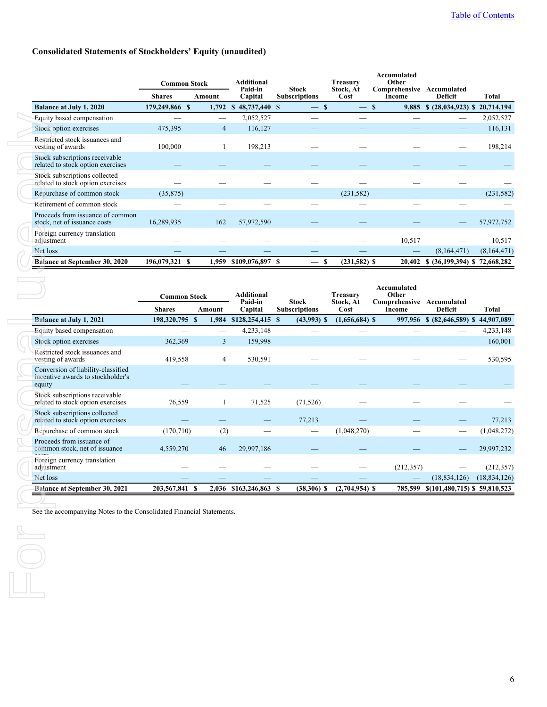## **Consolidated Statements of Stockholders' Equity (unaudited)**

|                                                                     |                | <b>Common Stock</b> | Additional<br>Paid-in          | <b>Stock</b>         | Treasurv                       | Accumulated<br>Other    |                               |              |
|---------------------------------------------------------------------|----------------|---------------------|--------------------------------|----------------------|--------------------------------|-------------------------|-------------------------------|--------------|
|                                                                     | <b>Shares</b>  | Amount              | Capital                        | <b>Subscriptions</b> | Stock, At<br>Cost              | Comprehensive<br>Income | Accumulated<br><b>Deficit</b> | <b>Total</b> |
| <b>Balance at July 1, 2020</b>                                      | 179,249,866 \$ | 1,792               | 48,737,440 \$<br><sup>\$</sup> |                      | -S<br>$\overline{\phantom{0}}$ | 9,885<br>-S             | \$ (28,034,923) \$ 20,714,194 |              |
| Equity based compensation                                           |                |                     | 2,052,527                      |                      |                                |                         |                               | 2,052,527    |
| Stock option exercises                                              | 475,395        | 4                   | 116,127                        |                      |                                |                         |                               | 116,131      |
| Restricted stock issuances and<br>vesting of awards                 | 100,000        |                     | 198,213                        |                      |                                |                         |                               | 198,214      |
| Stock subscriptions receivable<br>related to stock option exercises |                |                     |                                |                      |                                |                         |                               |              |
| Stock subscriptions collected<br>related to stock option exercises  |                |                     |                                |                      |                                |                         |                               |              |
| Repurchase of common stock                                          | (35, 875)      |                     |                                |                      | (231, 582)                     |                         |                               | (231, 582)   |
| Retirement of common stock                                          |                |                     |                                |                      |                                |                         |                               |              |
| Proceeds from issuance of common<br>stock, net of issuance costs    | 16,289,935     | 162                 | 57,972,590                     |                      |                                |                         |                               | 57,972,752   |
| Foreign currency translation<br>adjustment                          |                |                     |                                |                      |                                | 10,517                  |                               | 10,517       |
| Net loss                                                            |                |                     |                                |                      |                                |                         | (8,164,471)                   | (8,164,471)  |
| <b>Balance at September 30, 2020</b>                                | 196,079,321 \$ | 1,959               | \$109,076,897                  | -S                   | $(231,582)$ \$<br>-S           | 20,402                  | \$ (36,199,394) \$ 72,668,282 |              |

| Equity based compensation                                                         |                                      |                | 2,052,527                               |                                      |                               |                                                             |                                      | 2,052,527      |
|-----------------------------------------------------------------------------------|--------------------------------------|----------------|-----------------------------------------|--------------------------------------|-------------------------------|-------------------------------------------------------------|--------------------------------------|----------------|
| Stock option exercises                                                            | 475,395                              | $\overline{4}$ | 116,127                                 |                                      |                               |                                                             |                                      | 116,131        |
| Restricted stock issuances and<br>vesting of awards                               | 100,000                              | 1              | 198,213                                 |                                      |                               |                                                             |                                      | 198,214        |
| Stock subscriptions receivable<br>related to stock option exercises               |                                      |                |                                         |                                      |                               |                                                             |                                      |                |
| Stock subscriptions collected<br>related to stock option exercises                |                                      |                |                                         |                                      |                               |                                                             |                                      |                |
| Repurchase of common stock                                                        | (35, 875)                            |                |                                         |                                      | (231, 582)                    |                                                             |                                      | (231, 582)     |
| Retirement of common stock                                                        |                                      |                |                                         |                                      |                               |                                                             |                                      |                |
| Proceeds from issuance of common<br>stock, net of issuance costs                  | 16,289,935                           | 162            | 57,972,590                              |                                      |                               |                                                             |                                      | 57,972,752     |
| Foreign currency translation<br>adjustment                                        |                                      |                |                                         |                                      |                               | 10,517                                                      |                                      | 10,517         |
| Net loss                                                                          |                                      |                |                                         |                                      |                               |                                                             | (8,164,471)                          | (8,164,471)    |
| <b>Balance at September 30, 2020</b>                                              | 196,079,321 \$                       |                | 1,959 \$109,076,897 \$                  | \$<br>$\overline{\phantom{0}}$       | $(231,582)$ \$                |                                                             | 20,402 \$ (36,199,394) \$ 72,668,282 |                |
|                                                                                   | <b>Common Stock</b><br><b>Shares</b> | Amount         | <b>Additional</b><br>Paid-in<br>Capital | <b>Stock</b><br><b>Subscriptions</b> | Treasury<br>Stock, At<br>Cost | Accumulated<br>Other<br>Comprehensive Accumulated<br>Income | <b>Deficit</b>                       | <b>Total</b>   |
| Balance at July 1, 2021                                                           | 198,320,795 \$                       |                | 1,984 \$128,254,415 \$                  | $(43,993)$ \$                        | $(1,656,684)$ \$              |                                                             | 997,956 \$ (82,646,589) \$           | 44,907,089     |
| Equity based compensation                                                         |                                      |                | 4,233,148                               | $\overline{\phantom{0}}$             |                               |                                                             |                                      | 4,233,148      |
| Stock option exercises                                                            | 362,369                              | 3              | 159,998                                 |                                      |                               |                                                             |                                      | 160,001        |
| Restricted stock issuances and<br>vesting of awards                               | 419,558                              | 4              | 530,591                                 |                                      |                               |                                                             |                                      | 530,595        |
| Conversion of liability-classified<br>incentive awards to stockholder's<br>equity |                                      |                |                                         |                                      |                               |                                                             |                                      |                |
|                                                                                   |                                      |                |                                         |                                      |                               |                                                             |                                      |                |
| Stock subscriptions receivable<br>related to stock option exercises               | 76,559                               | 1              | 71,525                                  | (71, 526)                            |                               |                                                             |                                      |                |
| Stock subscriptions collected<br>related to stock option exercises                |                                      |                |                                         | 77,213                               |                               |                                                             |                                      | 77,213         |
| Repurchase of common stock                                                        | (170, 710)                           | (2)            |                                         | $\overline{\phantom{0}}$             | (1,048,270)                   |                                                             |                                      | (1,048,272)    |
| Proceeds from issuance of<br>common stock, net of issuance                        | 4,559,270                            | 46             | 29,997,186                              |                                      |                               |                                                             |                                      | 29,997,232     |
| Foreign currency translation<br>adjustment                                        |                                      |                |                                         |                                      |                               | (212, 357)                                                  |                                      | (212, 357)     |
| Net loss                                                                          |                                      |                |                                         |                                      |                               |                                                             | (18, 834, 126)                       | (18, 834, 126) |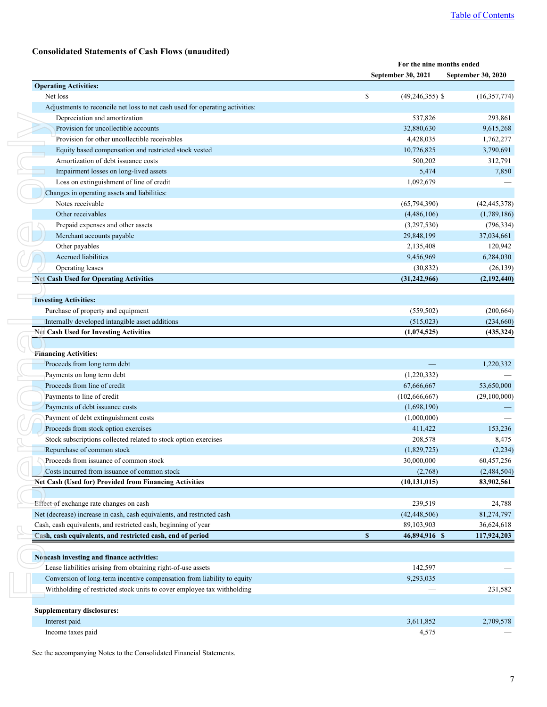# **Consolidated Statements of Cash Flows (unaudited)**

<span id="page-6-0"></span>

| <b>Operating Activities:</b><br>\$<br>Net loss<br>Adjustments to reconcile net loss to net cash used for operating activities:<br>Depreciation and amortization<br>Provision for uncollectible accounts<br>Provision for other uncollectible receivables<br>Equity based compensation and restricted stock vested<br>Amortization of debt issuance costs<br>Impairment losses on long-lived assets<br>Loss on extinguishment of line of credit<br>Changes in operating assets and liabilities:<br>Notes receivable<br>Other receivables<br>Prepaid expenses and other assets<br>Merchant accounts payable<br>Other payables<br><b>Accrued liabilities</b><br>Operating leases<br><b>Net Cash Used for Operating Activities</b><br><b>Investing Activities:</b><br>Purchase of property and equipment<br>Internally developed intangible asset additions<br><b>Net Cash Used for Investing Activities</b><br><b>Financing Activities:</b><br>Proceeds from long term debt<br>Payments on long term debt<br>Proceeds from line of credit<br>Payments to line of credit<br>Payments of debt issuance costs<br>Payment of debt extinguishment costs<br>Proceeds from stock option exercises<br>Stock subscriptions collected related to stock option exercises<br>Repurchase of common stock<br>Proceeds from issuance of common stock<br>Costs incurred from issuance of common stock<br><b>Net Cash (Used for) Provided from Financing Activities</b><br>Effect of exchange rate changes on cash<br>Net (decrease) increase in cash, cash equivalents, and restricted cash<br>Cash, cash equivalents, and restricted cash, beginning of year<br>$\mathbf{s}$<br>Cash, cash equivalents, and restricted cash, end of period<br>Noncash investing and finance activities:<br>Lease liabilities arising from obtaining right-of-use assets<br>Conversion of long-term incentive compensation from liability to equity<br>Withholding of restricted stock units to cover employee tax withholding<br><b>Supplementary disclosures:</b> |                           | For the nine months ended |
|----------------------------------------------------------------------------------------------------------------------------------------------------------------------------------------------------------------------------------------------------------------------------------------------------------------------------------------------------------------------------------------------------------------------------------------------------------------------------------------------------------------------------------------------------------------------------------------------------------------------------------------------------------------------------------------------------------------------------------------------------------------------------------------------------------------------------------------------------------------------------------------------------------------------------------------------------------------------------------------------------------------------------------------------------------------------------------------------------------------------------------------------------------------------------------------------------------------------------------------------------------------------------------------------------------------------------------------------------------------------------------------------------------------------------------------------------------------------------------------------------------------------------------------------------------------------------------------------------------------------------------------------------------------------------------------------------------------------------------------------------------------------------------------------------------------------------------------------------------------------------------------------------------------------------------------------------------------------------------------------------------------------------------|---------------------------|---------------------------|
|                                                                                                                                                                                                                                                                                                                                                                                                                                                                                                                                                                                                                                                                                                                                                                                                                                                                                                                                                                                                                                                                                                                                                                                                                                                                                                                                                                                                                                                                                                                                                                                                                                                                                                                                                                                                                                                                                                                                                                                                                                  | September 30, 2021        | <b>September 30, 2020</b> |
|                                                                                                                                                                                                                                                                                                                                                                                                                                                                                                                                                                                                                                                                                                                                                                                                                                                                                                                                                                                                                                                                                                                                                                                                                                                                                                                                                                                                                                                                                                                                                                                                                                                                                                                                                                                                                                                                                                                                                                                                                                  |                           |                           |
|                                                                                                                                                                                                                                                                                                                                                                                                                                                                                                                                                                                                                                                                                                                                                                                                                                                                                                                                                                                                                                                                                                                                                                                                                                                                                                                                                                                                                                                                                                                                                                                                                                                                                                                                                                                                                                                                                                                                                                                                                                  | $(49, 246, 355)$ \$       | (16, 357, 774)            |
|                                                                                                                                                                                                                                                                                                                                                                                                                                                                                                                                                                                                                                                                                                                                                                                                                                                                                                                                                                                                                                                                                                                                                                                                                                                                                                                                                                                                                                                                                                                                                                                                                                                                                                                                                                                                                                                                                                                                                                                                                                  |                           |                           |
|                                                                                                                                                                                                                                                                                                                                                                                                                                                                                                                                                                                                                                                                                                                                                                                                                                                                                                                                                                                                                                                                                                                                                                                                                                                                                                                                                                                                                                                                                                                                                                                                                                                                                                                                                                                                                                                                                                                                                                                                                                  | 537,826                   | 293,861                   |
|                                                                                                                                                                                                                                                                                                                                                                                                                                                                                                                                                                                                                                                                                                                                                                                                                                                                                                                                                                                                                                                                                                                                                                                                                                                                                                                                                                                                                                                                                                                                                                                                                                                                                                                                                                                                                                                                                                                                                                                                                                  | 32,880,630                | 9,615,268                 |
|                                                                                                                                                                                                                                                                                                                                                                                                                                                                                                                                                                                                                                                                                                                                                                                                                                                                                                                                                                                                                                                                                                                                                                                                                                                                                                                                                                                                                                                                                                                                                                                                                                                                                                                                                                                                                                                                                                                                                                                                                                  | 4,428,035<br>10,726,825   | 1,762,277                 |
|                                                                                                                                                                                                                                                                                                                                                                                                                                                                                                                                                                                                                                                                                                                                                                                                                                                                                                                                                                                                                                                                                                                                                                                                                                                                                                                                                                                                                                                                                                                                                                                                                                                                                                                                                                                                                                                                                                                                                                                                                                  | 500,202                   | 3,790,691<br>312,791      |
|                                                                                                                                                                                                                                                                                                                                                                                                                                                                                                                                                                                                                                                                                                                                                                                                                                                                                                                                                                                                                                                                                                                                                                                                                                                                                                                                                                                                                                                                                                                                                                                                                                                                                                                                                                                                                                                                                                                                                                                                                                  | 5,474                     | 7,850                     |
|                                                                                                                                                                                                                                                                                                                                                                                                                                                                                                                                                                                                                                                                                                                                                                                                                                                                                                                                                                                                                                                                                                                                                                                                                                                                                                                                                                                                                                                                                                                                                                                                                                                                                                                                                                                                                                                                                                                                                                                                                                  | 1,092,679                 |                           |
|                                                                                                                                                                                                                                                                                                                                                                                                                                                                                                                                                                                                                                                                                                                                                                                                                                                                                                                                                                                                                                                                                                                                                                                                                                                                                                                                                                                                                                                                                                                                                                                                                                                                                                                                                                                                                                                                                                                                                                                                                                  |                           |                           |
|                                                                                                                                                                                                                                                                                                                                                                                                                                                                                                                                                                                                                                                                                                                                                                                                                                                                                                                                                                                                                                                                                                                                                                                                                                                                                                                                                                                                                                                                                                                                                                                                                                                                                                                                                                                                                                                                                                                                                                                                                                  | (65, 794, 390)            | (42, 445, 378)            |
|                                                                                                                                                                                                                                                                                                                                                                                                                                                                                                                                                                                                                                                                                                                                                                                                                                                                                                                                                                                                                                                                                                                                                                                                                                                                                                                                                                                                                                                                                                                                                                                                                                                                                                                                                                                                                                                                                                                                                                                                                                  | (4,486,106)               | (1,789,186)               |
|                                                                                                                                                                                                                                                                                                                                                                                                                                                                                                                                                                                                                                                                                                                                                                                                                                                                                                                                                                                                                                                                                                                                                                                                                                                                                                                                                                                                                                                                                                                                                                                                                                                                                                                                                                                                                                                                                                                                                                                                                                  | (3,297,530)               | (796, 334)                |
|                                                                                                                                                                                                                                                                                                                                                                                                                                                                                                                                                                                                                                                                                                                                                                                                                                                                                                                                                                                                                                                                                                                                                                                                                                                                                                                                                                                                                                                                                                                                                                                                                                                                                                                                                                                                                                                                                                                                                                                                                                  | 29,848,199                | 37,034,661                |
|                                                                                                                                                                                                                                                                                                                                                                                                                                                                                                                                                                                                                                                                                                                                                                                                                                                                                                                                                                                                                                                                                                                                                                                                                                                                                                                                                                                                                                                                                                                                                                                                                                                                                                                                                                                                                                                                                                                                                                                                                                  | 2,135,408                 | 120,942                   |
|                                                                                                                                                                                                                                                                                                                                                                                                                                                                                                                                                                                                                                                                                                                                                                                                                                                                                                                                                                                                                                                                                                                                                                                                                                                                                                                                                                                                                                                                                                                                                                                                                                                                                                                                                                                                                                                                                                                                                                                                                                  | 9,456,969                 | 6,284,030                 |
|                                                                                                                                                                                                                                                                                                                                                                                                                                                                                                                                                                                                                                                                                                                                                                                                                                                                                                                                                                                                                                                                                                                                                                                                                                                                                                                                                                                                                                                                                                                                                                                                                                                                                                                                                                                                                                                                                                                                                                                                                                  | (30, 832)                 | (26, 139)                 |
|                                                                                                                                                                                                                                                                                                                                                                                                                                                                                                                                                                                                                                                                                                                                                                                                                                                                                                                                                                                                                                                                                                                                                                                                                                                                                                                                                                                                                                                                                                                                                                                                                                                                                                                                                                                                                                                                                                                                                                                                                                  | (31, 242, 966)            | (2,192,440)               |
|                                                                                                                                                                                                                                                                                                                                                                                                                                                                                                                                                                                                                                                                                                                                                                                                                                                                                                                                                                                                                                                                                                                                                                                                                                                                                                                                                                                                                                                                                                                                                                                                                                                                                                                                                                                                                                                                                                                                                                                                                                  |                           |                           |
|                                                                                                                                                                                                                                                                                                                                                                                                                                                                                                                                                                                                                                                                                                                                                                                                                                                                                                                                                                                                                                                                                                                                                                                                                                                                                                                                                                                                                                                                                                                                                                                                                                                                                                                                                                                                                                                                                                                                                                                                                                  |                           |                           |
|                                                                                                                                                                                                                                                                                                                                                                                                                                                                                                                                                                                                                                                                                                                                                                                                                                                                                                                                                                                                                                                                                                                                                                                                                                                                                                                                                                                                                                                                                                                                                                                                                                                                                                                                                                                                                                                                                                                                                                                                                                  | (559, 502)                | (200, 664)                |
|                                                                                                                                                                                                                                                                                                                                                                                                                                                                                                                                                                                                                                                                                                                                                                                                                                                                                                                                                                                                                                                                                                                                                                                                                                                                                                                                                                                                                                                                                                                                                                                                                                                                                                                                                                                                                                                                                                                                                                                                                                  | (515, 023)                | (234,660)                 |
|                                                                                                                                                                                                                                                                                                                                                                                                                                                                                                                                                                                                                                                                                                                                                                                                                                                                                                                                                                                                                                                                                                                                                                                                                                                                                                                                                                                                                                                                                                                                                                                                                                                                                                                                                                                                                                                                                                                                                                                                                                  | (1,074,525)               | (435, 324)                |
|                                                                                                                                                                                                                                                                                                                                                                                                                                                                                                                                                                                                                                                                                                                                                                                                                                                                                                                                                                                                                                                                                                                                                                                                                                                                                                                                                                                                                                                                                                                                                                                                                                                                                                                                                                                                                                                                                                                                                                                                                                  |                           |                           |
|                                                                                                                                                                                                                                                                                                                                                                                                                                                                                                                                                                                                                                                                                                                                                                                                                                                                                                                                                                                                                                                                                                                                                                                                                                                                                                                                                                                                                                                                                                                                                                                                                                                                                                                                                                                                                                                                                                                                                                                                                                  |                           | 1,220,332                 |
|                                                                                                                                                                                                                                                                                                                                                                                                                                                                                                                                                                                                                                                                                                                                                                                                                                                                                                                                                                                                                                                                                                                                                                                                                                                                                                                                                                                                                                                                                                                                                                                                                                                                                                                                                                                                                                                                                                                                                                                                                                  | (1,220,332)               |                           |
|                                                                                                                                                                                                                                                                                                                                                                                                                                                                                                                                                                                                                                                                                                                                                                                                                                                                                                                                                                                                                                                                                                                                                                                                                                                                                                                                                                                                                                                                                                                                                                                                                                                                                                                                                                                                                                                                                                                                                                                                                                  | 67,666,667                | 53,650,000                |
|                                                                                                                                                                                                                                                                                                                                                                                                                                                                                                                                                                                                                                                                                                                                                                                                                                                                                                                                                                                                                                                                                                                                                                                                                                                                                                                                                                                                                                                                                                                                                                                                                                                                                                                                                                                                                                                                                                                                                                                                                                  | (102, 666, 667)           | (29,100,000)              |
|                                                                                                                                                                                                                                                                                                                                                                                                                                                                                                                                                                                                                                                                                                                                                                                                                                                                                                                                                                                                                                                                                                                                                                                                                                                                                                                                                                                                                                                                                                                                                                                                                                                                                                                                                                                                                                                                                                                                                                                                                                  | (1,698,190)               |                           |
|                                                                                                                                                                                                                                                                                                                                                                                                                                                                                                                                                                                                                                                                                                                                                                                                                                                                                                                                                                                                                                                                                                                                                                                                                                                                                                                                                                                                                                                                                                                                                                                                                                                                                                                                                                                                                                                                                                                                                                                                                                  | (1,000,000)               |                           |
|                                                                                                                                                                                                                                                                                                                                                                                                                                                                                                                                                                                                                                                                                                                                                                                                                                                                                                                                                                                                                                                                                                                                                                                                                                                                                                                                                                                                                                                                                                                                                                                                                                                                                                                                                                                                                                                                                                                                                                                                                                  | 411,422                   | 153,236                   |
|                                                                                                                                                                                                                                                                                                                                                                                                                                                                                                                                                                                                                                                                                                                                                                                                                                                                                                                                                                                                                                                                                                                                                                                                                                                                                                                                                                                                                                                                                                                                                                                                                                                                                                                                                                                                                                                                                                                                                                                                                                  | 208,578                   |                           |
|                                                                                                                                                                                                                                                                                                                                                                                                                                                                                                                                                                                                                                                                                                                                                                                                                                                                                                                                                                                                                                                                                                                                                                                                                                                                                                                                                                                                                                                                                                                                                                                                                                                                                                                                                                                                                                                                                                                                                                                                                                  | (1,829,725)               | (2, 234)                  |
|                                                                                                                                                                                                                                                                                                                                                                                                                                                                                                                                                                                                                                                                                                                                                                                                                                                                                                                                                                                                                                                                                                                                                                                                                                                                                                                                                                                                                                                                                                                                                                                                                                                                                                                                                                                                                                                                                                                                                                                                                                  | 30,000,000                | 60,457,256                |
|                                                                                                                                                                                                                                                                                                                                                                                                                                                                                                                                                                                                                                                                                                                                                                                                                                                                                                                                                                                                                                                                                                                                                                                                                                                                                                                                                                                                                                                                                                                                                                                                                                                                                                                                                                                                                                                                                                                                                                                                                                  | (2,768)<br>(10, 131, 015) | (2,484,504)<br>83,902,561 |
|                                                                                                                                                                                                                                                                                                                                                                                                                                                                                                                                                                                                                                                                                                                                                                                                                                                                                                                                                                                                                                                                                                                                                                                                                                                                                                                                                                                                                                                                                                                                                                                                                                                                                                                                                                                                                                                                                                                                                                                                                                  |                           |                           |
|                                                                                                                                                                                                                                                                                                                                                                                                                                                                                                                                                                                                                                                                                                                                                                                                                                                                                                                                                                                                                                                                                                                                                                                                                                                                                                                                                                                                                                                                                                                                                                                                                                                                                                                                                                                                                                                                                                                                                                                                                                  | 239,519                   | 24,788                    |
|                                                                                                                                                                                                                                                                                                                                                                                                                                                                                                                                                                                                                                                                                                                                                                                                                                                                                                                                                                                                                                                                                                                                                                                                                                                                                                                                                                                                                                                                                                                                                                                                                                                                                                                                                                                                                                                                                                                                                                                                                                  | (42, 448, 506)            | 81,274,797                |
|                                                                                                                                                                                                                                                                                                                                                                                                                                                                                                                                                                                                                                                                                                                                                                                                                                                                                                                                                                                                                                                                                                                                                                                                                                                                                                                                                                                                                                                                                                                                                                                                                                                                                                                                                                                                                                                                                                                                                                                                                                  | 89,103,903                | 36,624,618                |
|                                                                                                                                                                                                                                                                                                                                                                                                                                                                                                                                                                                                                                                                                                                                                                                                                                                                                                                                                                                                                                                                                                                                                                                                                                                                                                                                                                                                                                                                                                                                                                                                                                                                                                                                                                                                                                                                                                                                                                                                                                  | 46,894,916 \$             | 117,924,203               |
|                                                                                                                                                                                                                                                                                                                                                                                                                                                                                                                                                                                                                                                                                                                                                                                                                                                                                                                                                                                                                                                                                                                                                                                                                                                                                                                                                                                                                                                                                                                                                                                                                                                                                                                                                                                                                                                                                                                                                                                                                                  |                           |                           |
|                                                                                                                                                                                                                                                                                                                                                                                                                                                                                                                                                                                                                                                                                                                                                                                                                                                                                                                                                                                                                                                                                                                                                                                                                                                                                                                                                                                                                                                                                                                                                                                                                                                                                                                                                                                                                                                                                                                                                                                                                                  | 142,597                   |                           |
|                                                                                                                                                                                                                                                                                                                                                                                                                                                                                                                                                                                                                                                                                                                                                                                                                                                                                                                                                                                                                                                                                                                                                                                                                                                                                                                                                                                                                                                                                                                                                                                                                                                                                                                                                                                                                                                                                                                                                                                                                                  | 9,293,035                 |                           |
|                                                                                                                                                                                                                                                                                                                                                                                                                                                                                                                                                                                                                                                                                                                                                                                                                                                                                                                                                                                                                                                                                                                                                                                                                                                                                                                                                                                                                                                                                                                                                                                                                                                                                                                                                                                                                                                                                                                                                                                                                                  |                           | 231,582                   |
|                                                                                                                                                                                                                                                                                                                                                                                                                                                                                                                                                                                                                                                                                                                                                                                                                                                                                                                                                                                                                                                                                                                                                                                                                                                                                                                                                                                                                                                                                                                                                                                                                                                                                                                                                                                                                                                                                                                                                                                                                                  |                           |                           |
| Interest paid                                                                                                                                                                                                                                                                                                                                                                                                                                                                                                                                                                                                                                                                                                                                                                                                                                                                                                                                                                                                                                                                                                                                                                                                                                                                                                                                                                                                                                                                                                                                                                                                                                                                                                                                                                                                                                                                                                                                                                                                                    | 3,611,852                 | 2,709,578                 |
| Income taxes paid                                                                                                                                                                                                                                                                                                                                                                                                                                                                                                                                                                                                                                                                                                                                                                                                                                                                                                                                                                                                                                                                                                                                                                                                                                                                                                                                                                                                                                                                                                                                                                                                                                                                                                                                                                                                                                                                                                                                                                                                                | 4,575                     |                           |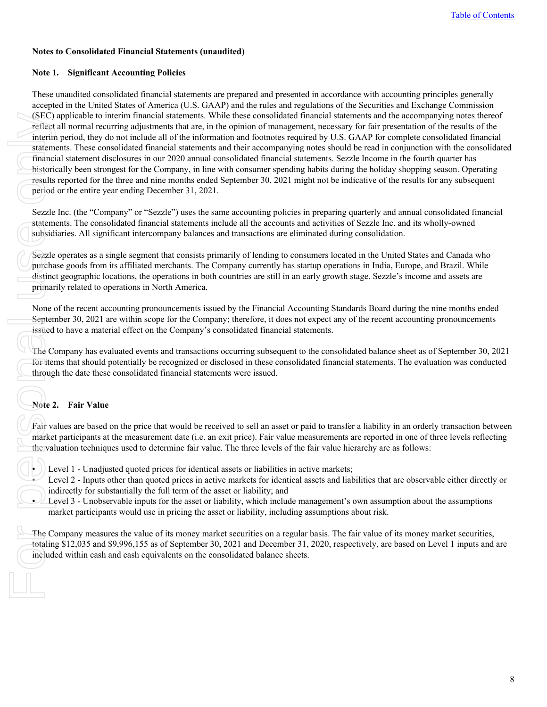### <span id="page-7-0"></span>**Notes to Consolidated Financial Statements (unaudited)**

### **Note 1. Significant Accounting Policies**

These unaudited consolidated financial statements are prepared and presented in accordance with accounting principles generally accepted in the United States of America (U.S. GAAP) and the rules and regulations of the Securities and Exchange Commission (SEC) applicable to interim financial statements. While these consolidated financial statements and the accompanying notes thereof reflect all normal recurring adjustments that are, in the opinion of management, necessary for fair presentation of the results of the interim period, they do not include all of the information and footnotes required by U.S. GAAP for complete consolidated financial statements. These consolidated financial statements and their accompanying notes should be read in conjunction with the consolidated financial statement disclosures in our 2020 annual consolidated financial statements. Sezzle Income in the fourth quarter has historically been strongest for the Company, in line with consumer spending habits during the holiday shopping season. Operating results reported for the three and nine months ended September 30, 2021 might not be indicative of the results for any subsequent period or the entire year ending December 31, 2021. (SEC)<br>
reflect<br>
interim<br>
statem<br>
finance<br>
historic results<br>
period<br>
Sezzle<br>
statem<br>
subsid<br>
Sezzle<br>
purcha<br>
distinc<br>
primar<br>
None (Sezzle<br>
purcha<br>
distinc<br>
primar<br>
None (Septen<br>
issued<br>
The C(of itel<br>
throug<br>
Note 2<br>
Fair

Sezzle Inc. (the "Company" or "Sezzle") uses the same accounting policies in preparing quarterly and annual consolidated financial statements. The consolidated financial statements include all the accounts and activities of Sezzle Inc. and its wholly-owned subsidiaries. All significant intercompany balances and transactions are eliminated during consolidation.

Sezzle operates as a single segment that consists primarily of lending to consumers located in the United States and Canada who purchase goods from its affiliated merchants. The Company currently has startup operations in India, Europe, and Brazil. While distinct geographic locations, the operations in both countries are still in an early growth stage. Sezzle's income and assets are primarily related to operations in North America.

None of the recent accounting pronouncements issued by the Financial Accounting Standards Board during the nine months ended September 30, 2021 are within scope for the Company; therefore, it does not expect any of the recent accounting pronouncements issued to have a material effect on the Company's consolidated financial statements.

The Company has evaluated events and transactions occurring subsequent to the consolidated balance sheet as of September 30, 2021 for items that should potentially be recognized or disclosed in these consolidated financial statements. The evaluation was conducted through the date these consolidated financial statements were issued.

### **Note 2. Fair Value**

Fair values are based on the price that would be received to sell an asset or paid to transfer a liability in an orderly transaction between market participants at the measurement date (i.e. an exit price). Fair value measurements are reported in one of three levels reflecting the valuation techniques used to determine fair value. The three levels of the fair value hierarchy are as follows:

• Level 1 - Unadjusted quoted prices for identical assets or liabilities in active markets;

- Level 2 Inputs other than quoted prices in active markets for identical assets and liabilities that are observable either directly or indirectly for substantially the full term of the asset or liability; and
- Level 3 Unobservable inputs for the asset or liability, which include management's own assumption about the assumptions market participants would use in pricing the asset or liability, including assumptions about risk.

The Company measures the value of its money market securities on a regular basis. The fair value of its money market securities, totaling \$12,035 and \$9,996,155 as of September 30, 2021 and December 31, 2020, respectively, are based on Level 1 inputs and are included within cash and cash equivalents on the consolidated balance sheets.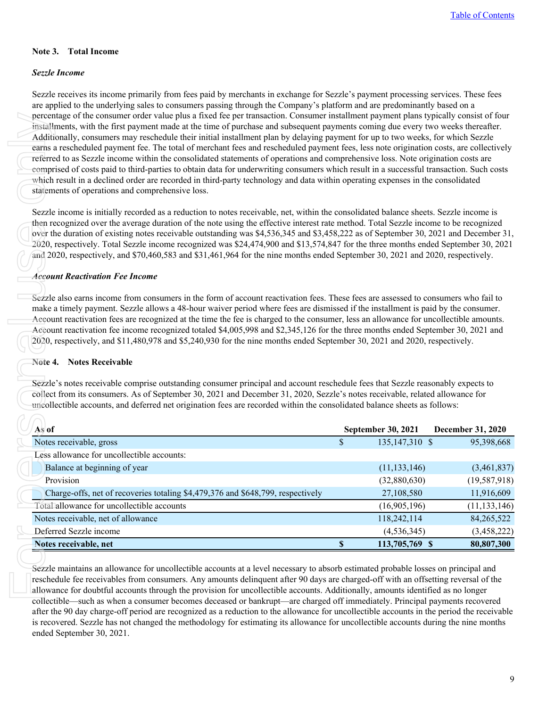### **Note 3. Total Income**

#### *Sezzle Income*

Sezzle receives its income primarily from fees paid by merchants in exchange for Sezzle's payment processing services. These fees are applied to the underlying sales to consumers passing through the Company's platform and are predominantly based on a percentage of the consumer order value plus a fixed fee per transaction. Consumer installment payment plans typically consist of four installments, with the first payment made at the time of purchase and subsequent payments coming due every two weeks thereafter. Additionally, consumers may reschedule their initial installment plan by delaying payment for up to two weeks, for which Sezzle earns a rescheduled payment fee. The total of merchant fees and rescheduled payment fees, less note origination costs, are collectively referred to as Sezzle income within the consolidated statements of operations and comprehensive loss. Note origination costs are comprised of costs paid to third-parties to obtain data for underwriting consumers which result in a successful transaction. Such costs which result in a declined order are recorded in third-party technology and data within operating expenses in the consolidated statements of operations and comprehensive loss.

#### *Account Reactivation Fee Income*

#### **Note 4. Notes Receivable**

| comprised of costs paid to third-parties to obtain data for underwriting consumers which result in a successful transaction. Such costs<br>which result in a declined order are recorded in third-party technology and data within operating expenses in the consolidated<br>statements of operations and comprehensive loss.                                                                                                                                                                                                                                                                                                                                                                 | referred to as Sezzle income within the consolidated statements of operations and comprehensive loss. Note origination costs are | installments, with the first payment made at the time of purchase and subsequent payments coming due every two weeks thereafter.<br>Additionally, consumers may reschedule their initial installment plan by delaying payment for up to two weeks, for which Sezzle<br>earns a rescheduled payment fee. The total of merchant fees and rescheduled payment fees, less note origination costs, are collectively |
|-----------------------------------------------------------------------------------------------------------------------------------------------------------------------------------------------------------------------------------------------------------------------------------------------------------------------------------------------------------------------------------------------------------------------------------------------------------------------------------------------------------------------------------------------------------------------------------------------------------------------------------------------------------------------------------------------|----------------------------------------------------------------------------------------------------------------------------------|----------------------------------------------------------------------------------------------------------------------------------------------------------------------------------------------------------------------------------------------------------------------------------------------------------------------------------------------------------------------------------------------------------------|
| Sezzle income is initially recorded as a reduction to notes receivable, net, within the consolidated balance sheets. Sezzle income is<br>then recognized over the average duration of the note using the effective interest rate method. Total Sezzle income to be recognized<br>over the duration of existing notes receivable outstanding was \$4,536,345 and \$3,458,222 as of September 30, 2021 and December 31,<br>2020, respectively. Total Sezzle income recognized was \$24,474,900 and \$13,574,847 for the three months ended September 30, 2021<br>and 2020, respectively, and \$70,460,583 and \$31,461,964 for the nine months ended September 30, 2021 and 2020, respectively. |                                                                                                                                  |                                                                                                                                                                                                                                                                                                                                                                                                                |
| <b>Account Reactivation Fee Income</b>                                                                                                                                                                                                                                                                                                                                                                                                                                                                                                                                                                                                                                                        |                                                                                                                                  |                                                                                                                                                                                                                                                                                                                                                                                                                |
| Sezzle also earns income from consumers in the form of account reactivation fees. These fees are assessed to consumers who fail to<br>make a timely payment. Sezzle allows a 48-hour waiver period where fees are dismissed if the installment is paid by the consumer.<br>Account reactivation fees are recognized at the time the fee is charged to the consumer, less an allowance for uncollectible amounts.                                                                                                                                                                                                                                                                              |                                                                                                                                  |                                                                                                                                                                                                                                                                                                                                                                                                                |
| Account reactivation fee income recognized totaled \$4,005,998 and \$2,345,126 for the three months ended September 30, 2021 and<br>2020, respectively, and \$11,480,978 and \$5,240,930 for the nine months ended September 30, 2021 and 2020, respectively.<br>Note 4. Notes Receivable<br>Sezzle's notes receivable comprise outstanding consumer principal and account reschedule fees that Sezzle reasonably expects to<br>collect from its consumers. As of September 30, 2021 and December 31, 2020, Sezzle's notes receivable, related allowance for<br>uncollectible accounts, and deferred net origination fees are recorded within the consolidated balance sheets as follows:     |                                                                                                                                  |                                                                                                                                                                                                                                                                                                                                                                                                                |
| As of                                                                                                                                                                                                                                                                                                                                                                                                                                                                                                                                                                                                                                                                                         | <b>September 30, 2021</b>                                                                                                        | <b>December 31, 2020</b>                                                                                                                                                                                                                                                                                                                                                                                       |
| Notes receivable, gross                                                                                                                                                                                                                                                                                                                                                                                                                                                                                                                                                                                                                                                                       | \$<br>135,147,310 \$                                                                                                             | 95,398,668                                                                                                                                                                                                                                                                                                                                                                                                     |
| Less allowance for uncollectible accounts:                                                                                                                                                                                                                                                                                                                                                                                                                                                                                                                                                                                                                                                    |                                                                                                                                  |                                                                                                                                                                                                                                                                                                                                                                                                                |
| Balance at beginning of year                                                                                                                                                                                                                                                                                                                                                                                                                                                                                                                                                                                                                                                                  | (11, 133, 146)                                                                                                                   | (3,461,837)                                                                                                                                                                                                                                                                                                                                                                                                    |
| Provision                                                                                                                                                                                                                                                                                                                                                                                                                                                                                                                                                                                                                                                                                     | (32,880,630)                                                                                                                     | (19, 587, 918)                                                                                                                                                                                                                                                                                                                                                                                                 |
| Charge-offs, net of recoveries totaling \$4,479,376 and \$648,799, respectively                                                                                                                                                                                                                                                                                                                                                                                                                                                                                                                                                                                                               | 27,108,580                                                                                                                       | 11,916,609                                                                                                                                                                                                                                                                                                                                                                                                     |
| Total allowance for uncollectible accounts                                                                                                                                                                                                                                                                                                                                                                                                                                                                                                                                                                                                                                                    | (16,905,196)                                                                                                                     | (11, 133, 146)                                                                                                                                                                                                                                                                                                                                                                                                 |
| Notes receivable, net of allowance                                                                                                                                                                                                                                                                                                                                                                                                                                                                                                                                                                                                                                                            | 118,242,114                                                                                                                      | 84,265,522                                                                                                                                                                                                                                                                                                                                                                                                     |
| Deferred Sezzle income                                                                                                                                                                                                                                                                                                                                                                                                                                                                                                                                                                                                                                                                        | (4, 536, 345)                                                                                                                    | (3,458,222)                                                                                                                                                                                                                                                                                                                                                                                                    |

reschedule fee receivables from consumers. Any amounts delinquent after 90 days are charged-off with an offsetting reversal of the allowance for doubtful accounts through the provision for uncollectible accounts. Additionally, amounts identified as no longer collectible—such as when a consumer becomes deceased or bankrupt—are charged off immediately. Principal payments recovered after the 90 day charge-off period are recognized as a reduction to the allowance for uncollectible accounts in the period the receivable is recovered. Sezzle has not changed the methodology for estimating its allowance for uncollectible accounts during the nine months ended September 30, 2021.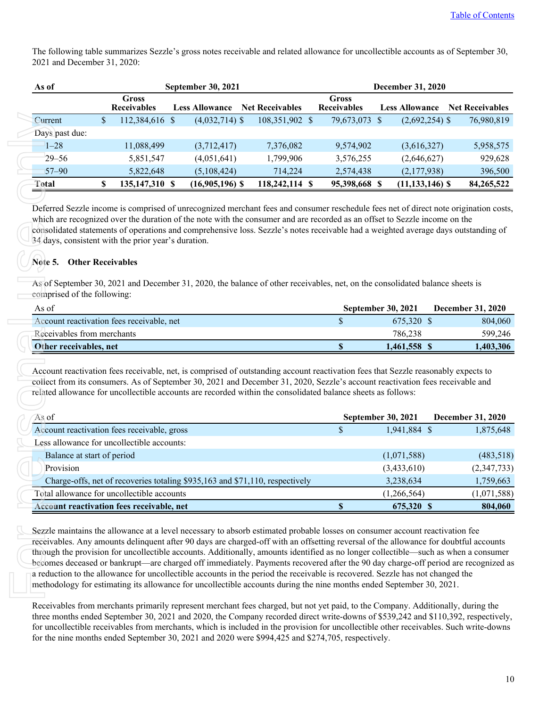The following table summarizes Sezzle's gross notes receivable and related allowance for uncollectible accounts as of September 30, 2021 and December 31, 2020:

| As of          | <b>September 30, 2021</b><br><b>December 31, 2020</b> |                                    |  |                       |  |                        |  |                                    |                       |  |                        |
|----------------|-------------------------------------------------------|------------------------------------|--|-----------------------|--|------------------------|--|------------------------------------|-----------------------|--|------------------------|
|                |                                                       | <b>Gross</b><br><b>Receivables</b> |  | <b>Less Allowance</b> |  | <b>Net Receivables</b> |  | <b>Gross</b><br><b>Receivables</b> | <b>Less Allowance</b> |  | <b>Net Receivables</b> |
| Current        | S                                                     | $12,384,616$ \$                    |  | $(4,032,714)$ \$      |  | 108,351,902 \$         |  | 79,673,073 \$                      | $(2,692,254)$ \$      |  | 76,980,819             |
| Days past due: |                                                       |                                    |  |                       |  |                        |  |                                    |                       |  |                        |
| $1 - 28$       |                                                       | 11,088,499                         |  | (3,712,417)           |  | 7,376,082              |  | 9,574,902                          | (3,616,327)           |  | 5,958,575              |
| $29 - 56$      |                                                       | 5,851,547                          |  | (4,051,641)           |  | 1,799,906              |  | 3,576,255                          | (2,646,627)           |  | 929,628                |
| $57 - 90$      |                                                       | 5,822,648                          |  | (5,108,424)           |  | 714,224                |  | 2,574,438                          | (2,177,938)           |  | 396,500                |
| Total          |                                                       | 135,147,310 \$                     |  | $(16,905,196)$ \$     |  | 118,242,114 \$         |  | 95,398,668                         | $(11, 133, 146)$ \$   |  | 84,265,522             |

### **Note 5. Other Receivables**

| As of                                     | <b>September 30, 2021</b> | <b>December 31, 2020</b> |
|-------------------------------------------|---------------------------|--------------------------|
| Account reactivation fees receivable, net | 675.320 \$                | 804,060                  |
| Receivables from merchants                | 786.238                   | 599,246                  |
| Other receivables, net                    | 1.461.558 \$              | 1.403.306                |

| 11,088,499<br>5,851,547<br>5,822,648        | (3,712,417)<br>(4,051,641)                                                                                                                                                                                                                    | 7,376,082                                           |               |                          |                                    |                                                                                                                                                                                                                                                                                                                                                                                                                                                                                                                                                                   |
|---------------------------------------------|-----------------------------------------------------------------------------------------------------------------------------------------------------------------------------------------------------------------------------------------------|-----------------------------------------------------|---------------|--------------------------|------------------------------------|-------------------------------------------------------------------------------------------------------------------------------------------------------------------------------------------------------------------------------------------------------------------------------------------------------------------------------------------------------------------------------------------------------------------------------------------------------------------------------------------------------------------------------------------------------------------|
|                                             |                                                                                                                                                                                                                                               |                                                     |               |                          |                                    |                                                                                                                                                                                                                                                                                                                                                                                                                                                                                                                                                                   |
|                                             |                                                                                                                                                                                                                                               |                                                     | 9,574,902     |                          | (3,616,327)                        | 5,958,575                                                                                                                                                                                                                                                                                                                                                                                                                                                                                                                                                         |
|                                             |                                                                                                                                                                                                                                               | 1,799,906                                           | 3,576,255     |                          | (2,646,627)                        | 929,628                                                                                                                                                                                                                                                                                                                                                                                                                                                                                                                                                           |
|                                             | (5,108,424)                                                                                                                                                                                                                                   | 714,224                                             | 2,574,438     |                          | (2,177,938)                        | 396,500                                                                                                                                                                                                                                                                                                                                                                                                                                                                                                                                                           |
| 135,147,310 \$                              | $(16,905,196)$ \$                                                                                                                                                                                                                             | 118,242,114 \$                                      | 95,398,668 \$ |                          | $(11, 133, 146)$ \$                | 84,265,522                                                                                                                                                                                                                                                                                                                                                                                                                                                                                                                                                        |
|                                             |                                                                                                                                                                                                                                               |                                                     |               |                          |                                    |                                                                                                                                                                                                                                                                                                                                                                                                                                                                                                                                                                   |
|                                             |                                                                                                                                                                                                                                               |                                                     |               |                          |                                    | <b>December 31, 2020</b>                                                                                                                                                                                                                                                                                                                                                                                                                                                                                                                                          |
| Account reactivation fees receivable, net   |                                                                                                                                                                                                                                               |                                                     | $\mathsf{\$}$ |                          |                                    | 804,060                                                                                                                                                                                                                                                                                                                                                                                                                                                                                                                                                           |
|                                             |                                                                                                                                                                                                                                               |                                                     |               |                          |                                    | 599,246                                                                                                                                                                                                                                                                                                                                                                                                                                                                                                                                                           |
|                                             |                                                                                                                                                                                                                                               |                                                     |               |                          |                                    |                                                                                                                                                                                                                                                                                                                                                                                                                                                                                                                                                                   |
|                                             | Account reactivation fees receivable, net, is comprised of outstanding account reactivation fees that Sezzle reasonably expects to                                                                                                            |                                                     | $\mathbb S$   |                          |                                    | 1,403,306                                                                                                                                                                                                                                                                                                                                                                                                                                                                                                                                                         |
|                                             | collect from its consumers. As of September 30, 2021 and December 31, 2020, Sezzle's account reactivation fees receivable and<br>related allowance for uncollectible accounts are recorded within the consolidated balance sheets as follows: |                                                     |               |                          |                                    |                                                                                                                                                                                                                                                                                                                                                                                                                                                                                                                                                                   |
|                                             |                                                                                                                                                                                                                                               |                                                     |               | September 30, 2021       |                                    | December 31, 2020                                                                                                                                                                                                                                                                                                                                                                                                                                                                                                                                                 |
| Account reactivation fees receivable, gross |                                                                                                                                                                                                                                               |                                                     | $\mathsf{\$}$ | 1,941,884 \$             |                                    | 1,875,648                                                                                                                                                                                                                                                                                                                                                                                                                                                                                                                                                         |
| Less allowance for uncollectible accounts:  |                                                                                                                                                                                                                                               |                                                     |               |                          |                                    |                                                                                                                                                                                                                                                                                                                                                                                                                                                                                                                                                                   |
|                                             |                                                                                                                                                                                                                                               |                                                     |               | (1,071,588)              |                                    | (483, 518)                                                                                                                                                                                                                                                                                                                                                                                                                                                                                                                                                        |
|                                             |                                                                                                                                                                                                                                               |                                                     |               | (3,433,610)              |                                    |                                                                                                                                                                                                                                                                                                                                                                                                                                                                                                                                                                   |
| Total allowance for uncollectible accounts  | Charge-offs, net of recoveries totaling \$935,163 and \$71,110, respectively                                                                                                                                                                  |                                                     |               | 3,238,634<br>(1,266,564) |                                    | (2,347,733)<br>1,759,663<br>(1,071,588)                                                                                                                                                                                                                                                                                                                                                                                                                                                                                                                           |
|                                             |                                                                                                                                                                                                                                               | 34 days, consistent with the prior year's duration. |               |                          | September 30, 2021<br>1,461,558 \$ | Deferred Sezzle income is comprised of unrecognized merchant fees and consumer reschedule fees net of direct note origination costs,<br>which are recognized over the duration of the note with the consumer and are recorded as an offset to Sezzle income on the<br>consolidated statements of operations and comprehensive loss. Sezzle's notes receivable had a weighted average days outstanding of<br>As of September 30, 2021 and December 31, 2020, the balance of other receivables, net, on the consolidated balance sheets is<br>675,320 \$<br>786,238 |

Receivables from merchants primarily represent merchant fees charged, but not yet paid, to the Company. Additionally, during the three months ended September 30, 2021 and 2020, the Company recorded direct write-downs of \$539,242 and \$110,392, respectively, for uncollectible receivables from merchants, which is included in the provision for uncollectible other receivables. Such write-downs for the nine months ended September 30, 2021 and 2020 were \$994,425 and \$274,705, respectively.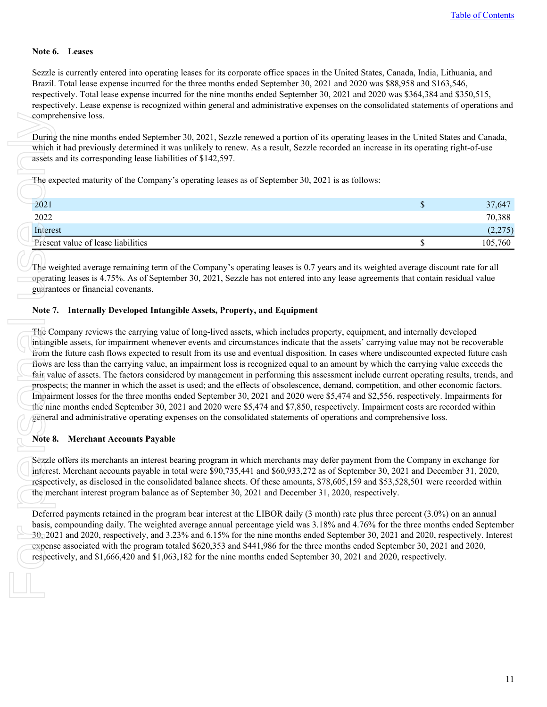#### **Note 6. Leases**

Sezzle is currently entered into operating leases for its corporate office spaces in the United States, Canada, India, Lithuania, and Brazil. Total lease expense incurred for the three months ended September 30, 2021 and 2020 was \$88,958 and \$163,546, respectively. Total lease expense incurred for the nine months ended September 30, 2021 and 2020 was \$364,384 and \$350,515, respectively. Lease expense is recognized within general and administrative expenses on the consolidated statements of operations and comprehensive loss.

During the nine months ended September 30, 2021, Sezzle renewed a portion of its operating leases in the United States and Canada, which it had previously determined it was unlikely to renew. As a result, Sezzle recorded an increase in its operating right-of-use assets and its corresponding lease liabilities of \$142,597.

The expected maturity of the Company's operating leases as of September 30, 2021 is as follows:

| 2021                               | w | 37,647  |
|------------------------------------|---|---------|
| 2022                               |   | 70,388  |
| Interest                           |   | (2,275) |
| Present value of lease liabilities |   | 105,760 |

The weighted average remaining term of the Company's operating leases is 0.7 years and its weighted average discount rate for all operating leases is 4.75%. As of September 30, 2021, Sezzle has not entered into any lease agreements that contain residual value guarantees or financial covenants.

#### **Note 7. Internally Developed Intangible Assets, Property, and Equipment**

The Company reviews the carrying value of long-lived assets, which includes property, equipment, and internally developed intangible assets, for impairment whenever events and circumstances indicate that the assets' carrying value may not be recoverable from the future cash flows expected to result from its use and eventual disposition. In cases where undiscounted expected future cash flows are less than the carrying value, an impairment loss is recognized equal to an amount by which the carrying value exceeds the fair value of assets. The factors considered by management in performing this assessment include current operating results, trends, and prospects; the manner in which the asset is used; and the effects of obsolescence, demand, competition, and other economic factors. Impairment losses for the three months ended September 30, 2021 and 2020 were \$5,474 and \$2,556, respectively. Impairments for the nine months ended September 30, 2021 and 2020 were \$5,474 and \$7,850, respectively. Impairment costs are recorded within general and administrative operating expenses on the consolidated statements of operations and comprehensive loss. compr<br>
During<br>
which<br>
assets<br>
The ex<br>
2021<br>
2022<br>
The word Presen<br>
Presen<br>
Operat<br>
guaran<br>
Note 7<br>
The Contage<br>
from the minume of the minume of the minume of the minume of the minume of the mediator<br>
Sezzle<br>
Interes<br>
resp

### **Note 8. Merchant Accounts Payable**

Sezzle offers its merchants an interest bearing program in which merchants may defer payment from the Company in exchange for interest. Merchant accounts payable in total were \$90,735,441 and \$60,933,272 as of September 30, 2021 and December 31, 2020, respectively, as disclosed in the consolidated balance sheets. Of these amounts, \$78,605,159 and \$53,528,501 were recorded within the merchant interest program balance as of September 30, 2021 and December 31, 2020, respectively.

Deferred payments retained in the program bear interest at the LIBOR daily (3 month) rate plus three percent (3.0%) on an annual basis, compounding daily. The weighted average annual percentage yield was 3.18% and 4.76% for the three months ended September 30, 2021 and 2020, respectively, and 3.23% and 6.15% for the nine months ended September 30, 2021 and 2020, respectively. Interest expense associated with the program totaled \$620,353 and \$441,986 for the three months ended September 30, 2021 and 2020, respectively, and \$1,666,420 and \$1,063,182 for the nine months ended September 30, 2021 and 2020, respectively.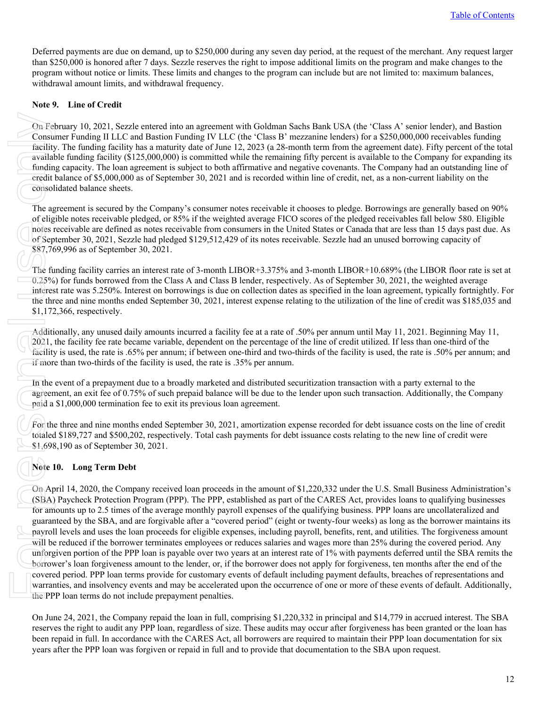Deferred payments are due on demand, up to \$250,000 during any seven day period, at the request of the merchant. Any request larger than \$250,000 is honored after 7 days. Sezzle reserves the right to impose additional limits on the program and make changes to the program without notice or limits. These limits and changes to the program can include but are not limited to: maximum balances, withdrawal amount limits, and withdrawal frequency.

#### **Note 9. Line of Credit**

On February 10, 2021, Sezzle entered into an agreement with Goldman Sachs Bank USA (the 'Class A' senior lender), and Bastion Consumer Funding II LLC and Bastion Funding IV LLC (the 'Class B' mezzanine lenders) for a \$250,000,000 receivables funding facility. The funding facility has a maturity date of June 12, 2023 (a 28-month term from the agreement date). Fifty percent of the total available funding facility (\$125,000,000) is committed while the remaining fifty percent is available to the Company for expanding its funding capacity. The loan agreement is subject to both affirmative and negative covenants. The Company had an outstanding line of credit balance of \$5,000,000 as of September 30, 2021 and is recorded within line of credit, net, as a non-current liability on the consolidated balance sheets.

The agreement is secured by the Company's consumer notes receivable it chooses to pledge. Borrowings are generally based on 90% of eligible notes receivable pledged, or 85% if the weighted average FICO scores of the pledged receivables fall below 580. Eligible notes receivable are defined as notes receivable from consumers in the United States or Canada that are less than 15 days past due. As of September 30, 2021, Sezzle had pledged \$129,512,429 of its notes receivable. Sezzle had an unused borrowing capacity of \$87,769,996 as of September 30, 2021.

The funding facility carries an interest rate of 3-month LIBOR+3.375% and 3-month LIBOR+10.689% (the LIBOR floor rate is set at 0.25%) for funds borrowed from the Class A and Class B lender, respectively. As of September 30, 2021, the weighted average interest rate was 5.250%. Interest on borrowings is due on collection dates as specified in the loan agreement, typically fortnightly. For the three and nine months ended September 30, 2021, interest expense relating to the utilization of the line of credit was \$185,035 and \$1,172,366, respectively.

Additionally, any unused daily amounts incurred a facility fee at a rate of .50% per annum until May 11, 2021. Beginning May 11, 2021, the facility fee rate became variable, dependent on the percentage of the line of credit utilized. If less than one-third of the facility is used, the rate is .65% per annum; if between one-third and two-thirds of the facility is used, the rate is .50% per annum; and if more than two-thirds of the facility is used, the rate is .35% per annum.

In the event of a prepayment due to a broadly marketed and distributed securitization transaction with a party external to the agreement, an exit fee of 0.75% of such prepaid balance will be due to the lender upon such transaction. Additionally, the Company paid a \$1,000,000 termination fee to exit its previous loan agreement.

For the three and nine months ended September 30, 2021, amortization expense recorded for debt issuance costs on the line of credit totaled \$189,727 and \$500,202, respectively. Total cash payments for debt issuance costs relating to the new line of credit were \$1,698,190 as of September 30, 2021.

### **Note 10. Long Term Debt**

On April 14, 2020, the Company received loan proceeds in the amount of \$1,220,332 under the U.S. Small Business Administration's (SBA) Paycheck Protection Program (PPP). The PPP, established as part of the CARES Act, provides loans to qualifying businesses for amounts up to 2.5 times of the average monthly payroll expenses of the qualifying business. PPP loans are uncollateralized and guaranteed by the SBA, and are forgivable after a "covered period" (eight or twenty-four weeks) as long as the borrower maintains its payroll levels and uses the loan proceeds for eligible expenses, including payroll, benefits, rent, and utilities. The forgiveness amount will be reduced if the borrower terminates employees or reduces salaries and wages more than 25% during the covered period. Any unforgiven portion of the PPP loan is payable over two years at an interest rate of 1% with payments deferred until the SBA remits the borrower's loan forgiveness amount to the lender, or, if the borrower does not apply for forgiveness, ten months after the end of the covered period. PPP loan terms provide for customary events of default including payment defaults, breaches of representations and warranties, and insolvency events and may be accelerated upon the occurrence of one or more of these events of default. Additionally, the PPP loan terms do not include prepayment penalties. On Fel<br>
Consu<br>
facility<br>
availad<br>
fundin<br>
credit<br>
consol<br>
The ag<br>
of elig<br>
notes r<br>
o.25%<br>
interes<br>
the fundition<br>
o.25%<br>
interes<br>
the thr<br>
starlity<br>
if more<br>
in the starling<br>
if more<br>
paid a<br>
For the totaled<br>
starling<br>
if

On June 24, 2021, the Company repaid the loan in full, comprising \$1,220,332 in principal and \$14,779 in accrued interest. The SBA reserves the right to audit any PPP loan, regardless of size. These audits may occur after forgiveness has been granted or the loan has been repaid in full. In accordance with the CARES Act, all borrowers are required to maintain their PPP loan documentation for six years after the PPP loan was forgiven or repaid in full and to provide that documentation to the SBA upon request.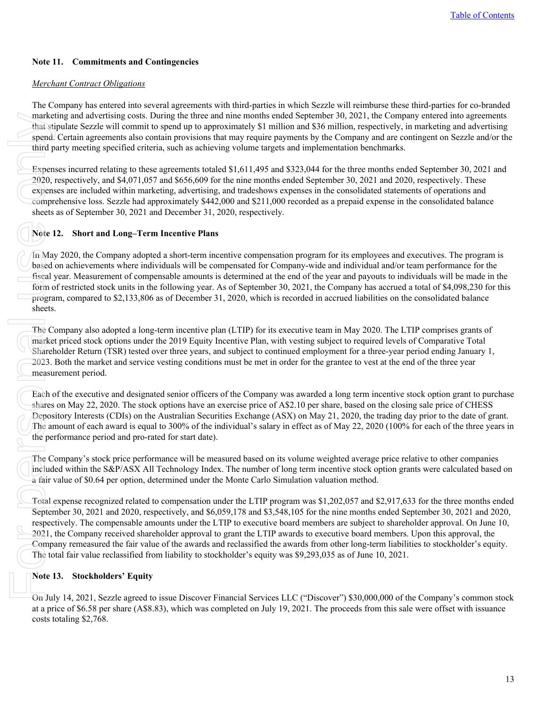### **Note 11. Commitments and Contingencies**

### *Merchant Contract Obligations*

The Company has entered into several agreements with third-parties in which Sezzle will reimburse these third-parties for co-branded marketing and advertising costs. During the three and nine months ended September 30, 2021, the Company entered into agreements that stipulate Sezzle will commit to spend up to approximately \$1 million and \$36 million, respectively, in marketing and advertising spend. Certain agreements also contain provisions that may require payments by the Company and are contingent on Sezzle and/or the third party meeting specified criteria, such as achieving volume targets and implementation benchmarks.

Expenses incurred relating to these agreements totaled \$1,611,495 and \$323,044 for the three months ended September 30, 2021 and 2020, respectively, and \$4,071,057 and \$656,609 for the nine months ended September 30, 2021 and 2020, respectively. These expenses are included within marketing, advertising, and tradeshows expenses in the consolidated statements of operations and comprehensive loss. Sezzle had approximately \$442,000 and \$211,000 recorded as a prepaid expense in the consolidated balance sheets as of September 30, 2021 and December 31, 2020, respectively.

### **Note 12. Short and Long–Term Incentive Plans**

In May 2020, the Company adopted a short-term incentive compensation program for its employees and executives. The program is based on achievements where individuals will be compensated for Company-wide and individual and/or team performance for the fiscal year. Measurement of compensable amounts is determined at the end of the year and payouts to individuals will be made in the form of restricted stock units in the following year. As of September 30, 2021, the Company has accrued a total of \$4,098,230 for this program, compared to \$2,133,806 as of December 31, 2020, which is recorded in accrued liabilities on the consolidated balance sheets.

The Company also adopted a long-term incentive plan (LTIP) for its executive team in May 2020. The LTIP comprises grants of market priced stock options under the 2019 Equity Incentive Plan, with vesting subject to required levels of Comparative Total Shareholder Return (TSR) tested over three years, and subject to continued employment for a three-year period ending January 1, 2023. Both the market and service vesting conditions must be met in order for the grantee to vest at the end of the three year measurement period.

Each of the executive and designated senior officers of the Company was awarded a long term incentive stock option grant to purchase shares on May 22, 2020. The stock options have an exercise price of A\$2.10 per share, based on the closing sale price of CHESS Depository Interests (CDIs) on the Australian Securities Exchange (ASX) on May 21, 2020, the trading day prior to the date of grant. The amount of each award is equal to 300% of the individual's salary in effect as of May 22, 2020 (100% for each of the three years in the performance period and pro-rated for start date).

The Company's stock price performance will be measured based on its volume weighted average price relative to other companies included within the S&P/ASX All Technology Index. The number of long term incentive stock option grants were calculated based on a fair value of \$0.64 per option, determined under the Monte Carlo Simulation valuation method.

Total expense recognized related to compensation under the LTIP program was \$1,202,057 and \$2,917,633 for the three months ended September 30, 2021 and 2020, respectively, and \$6,059,178 and \$3,548,105 for the nine months ended September 30, 2021 and 2020, respectively. The compensable amounts under the LTIP to executive board members are subject to shareholder approval. On June 10, 2021, the Company received shareholder approval to grant the LTIP awards to executive board members. Upon this approval, the Company remeasured the fair value of the awards and reclassified the awards from other long-term liabilities to stockholder's equity. The total fair value reclassified from liability to stockholder's equity was \$9,293,035 as of June 10, 2021. market that still<br>that still spend.<br>third p<br>Expendent that still personal compressed only are also<br>compressed fiscal by the state of the person of the person of the person of the person of the person of the person of the p

### **Note 13. Stockholders' Equity**

On July 14, 2021, Sezzle agreed to issue Discover Financial Services LLC ("Discover") \$30,000,000 of the Company's common stock at a price of \$6.58 per share (A\$8.83), which was completed on July 19, 2021. The proceeds from this sale were offset with issuance costs totaling \$2,768.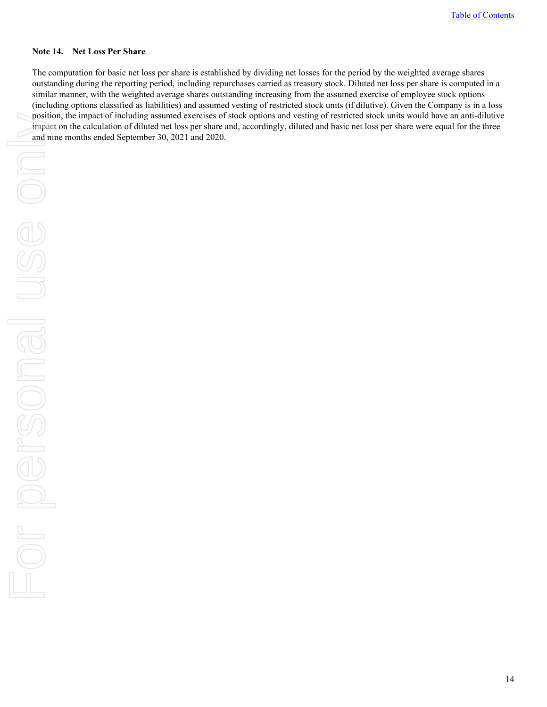#### **Note 14. Net Loss Per Share**

The computation for basic net loss per share is established by dividing net losses for the period by the weighted average shares outstanding during the reporting period, including repurchases carried as treasury stock. Diluted net loss per share is computed in a similar manner, with the weighted average shares outstanding increasing from the assumed exercise of employee stock options (including options classified as liabilities) and assumed vesting of restricted stock units (if dilutive). Given the Company is in a loss position, the impact of including assumed exercises of stock options and vesting of restricted stock units would have an anti-dilutive impact on the calculation of diluted net loss per share and, accordingly, diluted and basic net loss per share were equal for the three and nine months ended September 30, 2021 and 2020.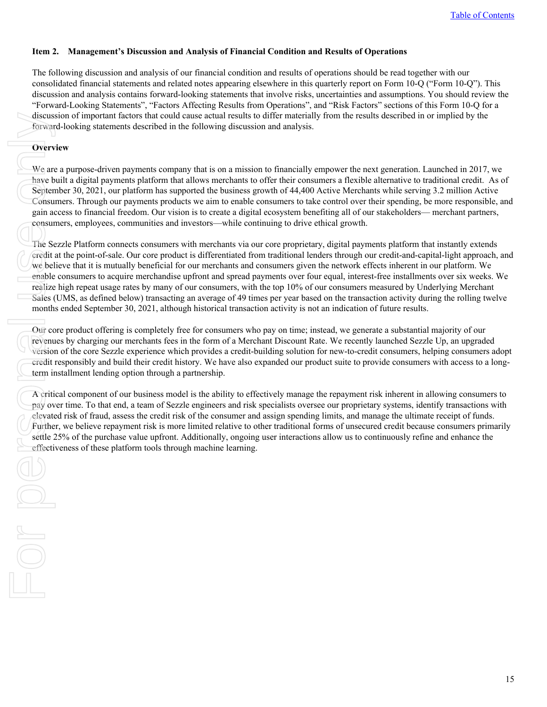### <span id="page-14-0"></span>**Item 2. Management's Discussion and Analysis of Financial Condition and Results of Operations**

The following discussion and analysis of our financial condition and results of operations should be read together with our consolidated financial statements and related notes appearing elsewhere in this quarterly report on Form 10-Q ("Form 10-Q"). This discussion and analysis contains forward-looking statements that involve risks, uncertainties and assumptions. You should review the "Forward-Looking Statements", "Factors Affecting Results from Operations", and "Risk Factors" sections of this Form 10-Q for a discussion of important factors that could cause actual results to differ materially from the results described in or implied by the forward-looking statements described in the following discussion and analysis.

### **Overview**

For p

We are a purpose-driven payments company that is on a mission to financially empower the next generation. Launched in 2017, we have built a digital payments platform that allows merchants to offer their consumers a flexible alternative to traditional credit. As of September 30, 2021, our platform has supported the business growth of 44,400 Active Merchants while serving 3.2 million Active Consumers. Through our payments products we aim to enable consumers to take control over their spending, be more responsible, and gain access to financial freedom. Our vision is to create a digital ecosystem benefiting all of our stakeholders— merchant partners, consumers, employees, communities and investors—while continuing to drive ethical growth.

The Sezzle Platform connects consumers with merchants via our core proprietary, digital payments platform that instantly extends credit at the point-of-sale. Our core product is differentiated from traditional lenders through our credit-and-capital-light approach, and we believe that it is mutually beneficial for our merchants and consumers given the network effects inherent in our platform. We enable consumers to acquire merchandise upfront and spread payments over four equal, interest-free installments over six weeks. We realize high repeat usage rates by many of our consumers, with the top 10% of our consumers measured by Underlying Merchant Sales (UMS, as defined below) transacting an average of 49 times per year based on the transaction activity during the rolling twelve months ended September 30, 2021, although historical transaction activity is not an indication of future results. discus:<br>
forwar<br>
Overv<br>
We are<br>
Ne are<br>
Septen<br>
Consur<br>
gain a consur<br>
gain a consur<br>
may on<br>
The Se Gredit<br>
enable<br>
realize<br>
Sales (month<br>
Our cc<br>
revenu<br>
version<br>
credit in in<br>
Cor crevenu<br>
version<br>
credit in in<br>
A criti

Our core product offering is completely free for consumers who pay on time; instead, we generate a substantial majority of our revenues by charging our merchants fees in the form of a Merchant Discount Rate. We recently launched Sezzle Up, an upgraded version of the core Sezzle experience which provides a credit-building solution for new-to-credit consumers, helping consumers adopt credit responsibly and build their credit history. We have also expanded our product suite to provide consumers with access to a longterm installment lending option through a partnership.

A critical component of our business model is the ability to effectively manage the repayment risk inherent in allowing consumers to pay over time. To that end, a team of Sezzle engineers and risk specialists oversee our proprietary systems, identify transactions with elevated risk of fraud, assess the credit risk of the consumer and assign spending limits, and manage the ultimate receipt of funds. Further, we believe repayment risk is more limited relative to other traditional forms of unsecured credit because consumers primarily settle 25% of the purchase value upfront. Additionally, ongoing user interactions allow us to continuously refine and enhance the effectiveness of these platform tools through machine learning.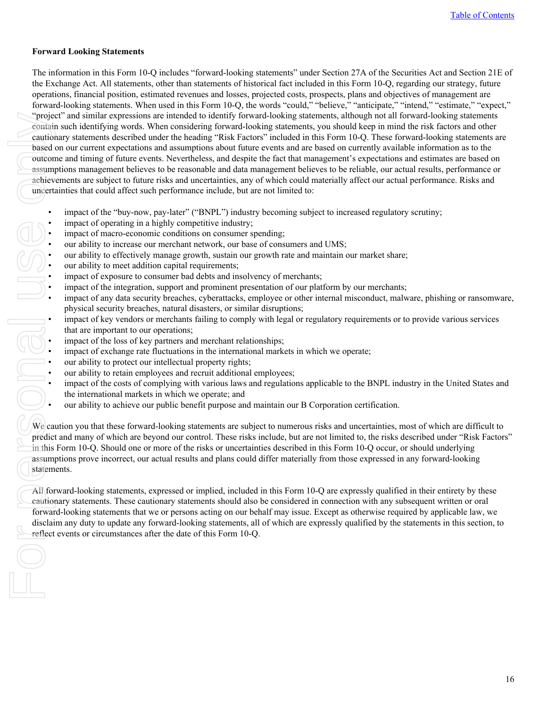### **Forward Looking Statements**

The information in this Form 10-Q includes "forward-looking statements" under Section 27A of the Securities Act and Section 21E of the Exchange Act. All statements, other than statements of historical fact included in this Form 10-Q, regarding our strategy, future operations, financial position, estimated revenues and losses, projected costs, prospects, plans and objectives of management are forward-looking statements. When used in this Form 10-Q, the words "could," "believe," "anticipate," "intend," "estimate," "expect," "project" and similar expressions are intended to identify forward-looking statements, although not all forward-looking statements contain such identifying words. When considering forward-looking statements, you should keep in mind the risk factors and other cautionary statements described under the heading "Risk Factors" included in this Form 10-Q. These forward-looking statements are based on our current expectations and assumptions about future events and are based on currently available information as to the outcome and timing of future events. Nevertheless, and despite the fact that management's expectations and estimates are based on assumptions management believes to be reasonable and data management believes to be reliable, our actual results, performance or achievements are subject to future risks and uncertainties, any of which could materially affect our actual performance. Risks and uncertainties that could affect such performance include, but are not limited to: "proje"<br>
contain<br>
caution<br>
assum<br>
achiev<br>
achiev<br>
uncert:<br>
uncert:<br>
uncert:<br>
uncert:<br>
uncert:<br>
uncert:<br>
uncert:<br>
uncert:<br>
uncert:<br>
uncert:<br>
uncert:<br>
uncert:<br>
uncert:<br>
uncert:<br>
uncert:<br>
uncert:<br>
uncert:<br>
uncert:<br>
uncert:<br>
u

- impact of the "buy-now, pay-later" ("BNPL") industry becoming subject to increased regulatory scrutiny;
- impact of operating in a highly competitive industry;
- impact of macro-economic conditions on consumer spending;
- our ability to increase our merchant network, our base of consumers and UMS;
- our ability to effectively manage growth, sustain our growth rate and maintain our market share;
- our ability to meet addition capital requirements;
- impact of exposure to consumer bad debts and insolvency of merchants;
- 
- impact of any data security breaches, cyberattacks, employee or other internal misconduct, malware, phishing or ransomware, physical security breaches, natural disasters, or similar disruptions;
- impact of the integration, support and prominent presentation of our platform by our merchants;<br>
impact of any data security breaches, cyberattacks, employee or other internal misconduct, malw<br>
physical security breaches • impact of key vendors or merchants failing to comply with legal or regulatory requirements or to provide various services that are important to our operations;
	- impact of the loss of key partners and merchant relationships;
	- impact of exchange rate fluctuations in the international markets in which we operate;
	- our ability to protect our intellectual property rights;
	- our ability to retain employees and recruit additional employees;
	- impact of the costs of complying with various laws and regulations applicable to the BNPL industry in the United States and the international markets in which we operate; and
	- our ability to achieve our public benefit purpose and maintain our B Corporation certification.

We caution you that these forward-looking statements are subject to numerous risks and uncertainties, most of which are difficult to predict and many of which are beyond our control. These risks include, but are not limited to, the risks described under "Risk Factors" in this Form 10-Q. Should one or more of the risks or uncertainties described in this Form 10-Q occur, or should underlying assumptions prove incorrect, our actual results and plans could differ materially from those expressed in any forward-looking statements.

All forward-looking statements, expressed or implied, included in this Form 10-Q are expressly qualified in their entirety by these cautionary statements. These cautionary statements should also be considered in connection with any subsequent written or oral forward-looking statements that we or persons acting on our behalf may issue. Except as otherwise required by applicable law, we disclaim any duty to update any forward-looking statements, all of which are expressly qualified by the statements in this section, to reflect events or circumstances after the date of this Form 10-Q.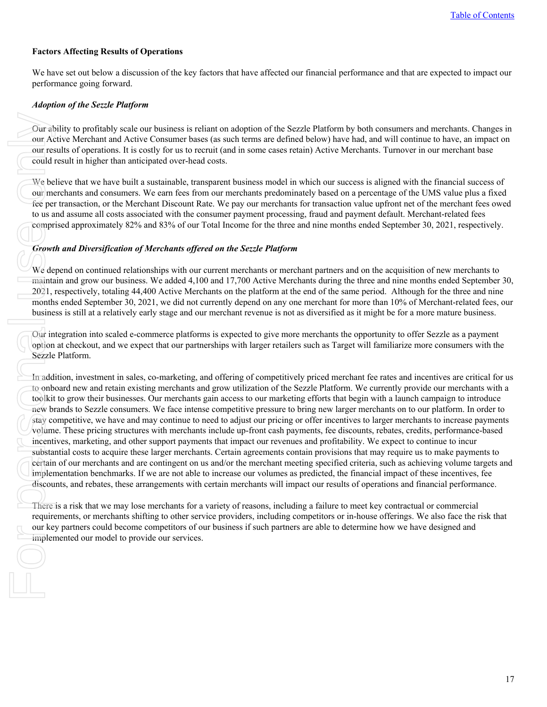### **Factors Affecting Results of Operations**

We have set out below a discussion of the key factors that have affected our financial performance and that are expected to impact our performance going forward.

#### *Adoption of the Sezzle Platform*

Our ability to profitably scale our business is reliant on adoption of the Sezzle Platform by both consumers and merchants. Changes in our Active Merchant and Active Consumer bases (as such terms are defined below) have had, and will continue to have, an impact on our results of operations. It is costly for us to recruit (and in some cases retain) Active Merchants. Turnover in our merchant base could result in higher than anticipated over-head costs.

We believe that we have built a sustainable, transparent business model in which our success is aligned with the financial success of our merchants and consumers. We earn fees from our merchants predominately based on a percentage of the UMS value plus a fixed fee per transaction, or the Merchant Discount Rate. We pay our merchants for transaction value upfront net of the merchant fees owed to us and assume all costs associated with the consumer payment processing, fraud and payment default. Merchant-related fees comprised approximately 82% and 83% of our Total Income for the three and nine months ended September 30, 2021, respectively.

#### *Growth and Diversification of Merchants offered on the Sezzle Platform*

We depend on continued relationships with our current merchants or merchant partners and on the acquisition of new merchants to maintain and grow our business. We added 4,100 and 17,700 Active Merchants during the three and nine months ended September 30, 2021, respectively, totaling 44,400 Active Merchants on the platform at the end of the same period. Although for the three and nine months ended September 30, 2021, we did not currently depend on any one merchant for more than 10% of Merchant-related fees, our business is still at a relatively early stage and our merchant revenue is not as diversified as it might be for a more mature business.

Our integration into scaled e-commerce platforms is expected to give more merchants the opportunity to offer Sezzle as a payment option at checkout, and we expect that our partnerships with larger retailers such as Target will familiarize more consumers with the Sezzle Platform.

In addition, investment in sales, co-marketing, and offering of competitively priced merchant fee rates and incentives are critical for us to onboard new and retain existing merchants and grow utilization of the Sezzle Platform. We currently provide our merchants with a toolkit to grow their businesses. Our merchants gain access to our marketing efforts that begin with a launch campaign to introduce new brands to Sezzle consumers. We face intense competitive pressure to bring new larger merchants on to our platform. In order to stay competitive, we have and may continue to need to adjust our pricing or offer incentives to larger merchants to increase payments volume. These pricing structures with merchants include up-front cash payments, fee discounts, rebates, credits, performance-based incentives, marketing, and other support payments that impact our revenues and profitability. We expect to continue to incur substantial costs to acquire these larger merchants. Certain agreements contain provisions that may require us to make payments to certain of our merchants and are contingent on us and/or the merchant meeting specified criteria, such as achieving volume targets and implementation benchmarks. If we are not able to increase our volumes as predicted, the financial impact of these incentives, fee discounts, and rebates, these arrangements with certain merchants will impact our results of operations and financial performance. For a bound in the could in the could in the could in the could in the could in the could in the could in the comproment of the comprometric could in the mainta and to onb toolkit new bit and to onb toolkit new bit stay co

There is a risk that we may lose merchants for a variety of reasons, including a failure to meet key contractual or commercial requirements, or merchants shifting to other service providers, including competitors or in-house offerings. We also face the risk that our key partners could become competitors of our business if such partners are able to determine how we have designed and implemented our model to provide our services.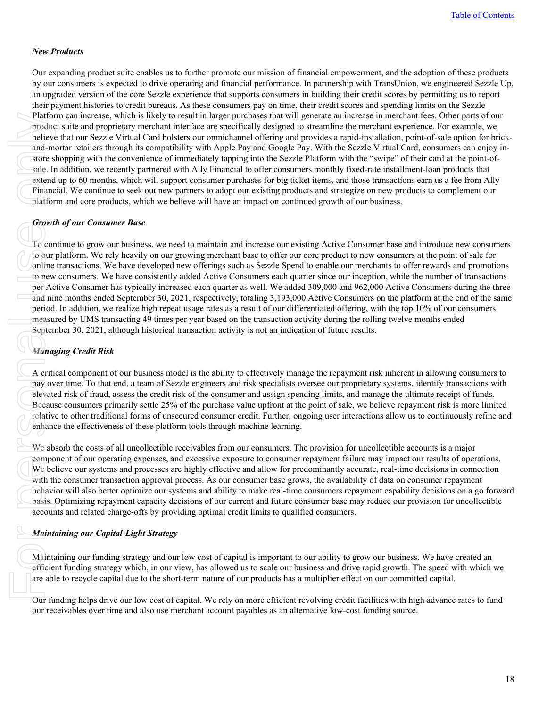#### *New Products*

Our expanding product suite enables us to further promote our mission of financial empowerment, and the adoption of these products by our consumers is expected to drive operating and financial performance. In partnership with TransUnion, we engineered Sezzle Up, an upgraded version of the core Sezzle experience that supports consumers in building their credit scores by permitting us to report their payment histories to credit bureaus. As these consumers pay on time, their credit scores and spending limits on the Sezzle Platform can increase, which is likely to result in larger purchases that will generate an increase in merchant fees. Other parts of our product suite and proprietary merchant interface are specifically designed to streamline the merchant experience. For example, we believe that our Sezzle Virtual Card bolsters our omnichannel offering and provides a rapid-installation, point-of-sale option for brickand-mortar retailers through its compatibility with Apple Pay and Google Pay. With the Sezzle Virtual Card, consumers can enjoy instore shopping with the convenience of immediately tapping into the Sezzle Platform with the "swipe" of their card at the point-ofsale. In addition, we recently partnered with Ally Financial to offer consumers monthly fixed-rate installment-loan products that extend up to 60 months, which will support consumer purchases for big ticket items, and those transactions earn us a fee from Ally Financial. We continue to seek out new partners to adopt our existing products and strategize on new products to complement our platform and core products, which we believe will have an impact on continued growth of our business.

#### *Growth of our Consumer Base*

To continue to grow our business, we need to maintain and increase our existing Active Consumer base and introduce new consumers to our platform. We rely heavily on our growing merchant base to offer our core product to new consumers at the point of sale for online transactions. We have developed new offerings such as Sezzle Spend to enable our merchants to offer rewards and promotions to new consumers. We have consistently added Active Consumers each quarter since our inception, while the number of transactions per Active Consumer has typically increased each quarter as well. We added 309,000 and 962,000 Active Consumers during the three and nine months ended September 30, 2021, respectively, totaling 3,193,000 Active Consumers on the platform at the end of the same period. In addition, we realize high repeat usage rates as a result of our differentiated offering, with the top 10% of our consumers measured by UMS transacting 49 times per year based on the transaction activity during the rolling twelve months ended September 30, 2021, although historical transaction activity is not an indication of future results. Platfor<br>
produc<br>
believe<br>
and-m<br>
store s<br>
sale. In<br>
extend<br>
Financ<br>
platfor<br>
from the sale. In<br>
Financ<br>
platfor<br>
Growt<br>
To cor<br>
to our<br>
online<br>
to new<br>
per Ac<br>
and nin<br>
period<br>
measu<br>
Septen<br>
Mana<sub>g</sub><br>
A criti<br>
pay ov<br>
elev

### *Managing Credit Risk*

A critical component of our business model is the ability to effectively manage the repayment risk inherent in allowing consumers to pay over time. To that end, a team of Sezzle engineers and risk specialists oversee our proprietary systems, identify transactions with elevated risk of fraud, assess the credit risk of the consumer and assign spending limits, and manage the ultimate receipt of funds. Because consumers primarily settle 25% of the purchase value upfront at the point of sale, we believe repayment risk is more limited relative to other traditional forms of unsecured consumer credit. Further, ongoing user interactions allow us to continuously refine and enhance the effectiveness of these platform tools through machine learning.

We absorb the costs of all uncollectible receivables from our consumers. The provision for uncollectible accounts is a major component of our operating expenses, and excessive exposure to consumer repayment failure may impact our results of operations. We believe our systems and processes are highly effective and allow for predominantly accurate, real-time decisions in connection with the consumer transaction approval process. As our consumer base grows, the availability of data on consumer repayment behavior will also better optimize our systems and ability to make real-time consumers repayment capability decisions on a go forward basis. Optimizing repayment capacity decisions of our current and future consumer base may reduce our provision for uncollectible accounts and related charge-offs by providing optimal credit limits to qualified consumers.

#### *Maintaining our Capital-Light Strategy*

Maintaining our funding strategy and our low cost of capital is important to our ability to grow our business. We have created an efficient funding strategy which, in our view, has allowed us to scale our business and drive rapid growth. The speed with which we are able to recycle capital due to the short-term nature of our products has a multiplier effect on our committed capital.

Our funding helps drive our low cost of capital. We rely on more efficient revolving credit facilities with high advance rates to fund our receivables over time and also use merchant account payables as an alternative low-cost funding source.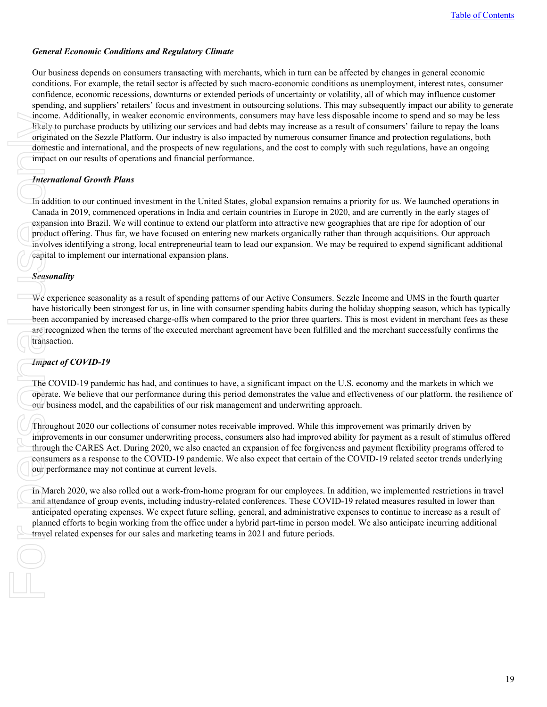#### *General Economic Conditions and Regulatory Climate*

Our business depends on consumers transacting with merchants, which in turn can be affected by changes in general economic conditions. For example, the retail sector is affected by such macro-economic conditions as unemployment, interest rates, consumer confidence, economic recessions, downturns or extended periods of uncertainty or volatility, all of which may influence customer spending, and suppliers' retailers' focus and investment in outsourcing solutions. This may subsequently impact our ability to generate income. Additionally, in weaker economic environments, consumers may have less disposable income to spend and so may be less likely to purchase products by utilizing our services and bad debts may increase as a result of consumers' failure to repay the loans originated on the Sezzle Platform. Our industry is also impacted by numerous consumer finance and protection regulations, both domestic and international, and the prospects of new regulations, and the cost to comply with such regulations, have an ongoing impact on our results of operations and financial performance.

### *International Growth Plans*

In addition to our continued investment in the United States, global expansion remains a priority for us. We launched operations in Canada in 2019, commenced operations in India and certain countries in Europe in 2020, and are currently in the early stages of expansion into Brazil. We will continue to extend our platform into attractive new geographies that are ripe for adoption of our product offering. Thus far, we have focused on entering new markets organically rather than through acquisitions. Our approach involves identifying a strong, local entrepreneurial team to lead our expansion. We may be required to expend significant additional capital to implement our international expansion plans. mcom<br>
likely<br>
origina<br>
domes<br>
impact<br>
In add<br>
Canad<br>
expans<br>
produc<br>
involv<br>
capital<br>
Season<br>
We ex<br>
have heen a<br>
are rec<br>
transac<br>
Impac<br>
The C<br>
operate<br>
our bu<br>
Throug<br>
improduce<br>
our bu<br>
Impac<br>
The C<br>
operate<br>
our bu<br>
I

### *Seasonality*

We experience seasonality as a result of spending patterns of our Active Consumers. Sezzle Income and UMS in the fourth quarter have historically been strongest for us, in line with consumer spending habits during the holiday shopping season, which has typically been accompanied by increased charge-offs when compared to the prior three quarters. This is most evident in merchant fees as these are recognized when the terms of the executed merchant agreement have been fulfilled and the merchant successfully confirms the transaction.

### *Impact of COVID-19*

The COVID-19 pandemic has had, and continues to have, a significant impact on the U.S. economy and the markets in which we operate. We believe that our performance during this period demonstrates the value and effectiveness of our platform, the resilience of our business model, and the capabilities of our risk management and underwriting approach.

Throughout 2020 our collections of consumer notes receivable improved. While this improvement was primarily driven by improvements in our consumer underwriting process, consumers also had improved ability for payment as a result of stimulus offered through the CARES Act. During 2020, we also enacted an expansion of fee forgiveness and payment flexibility programs offered to consumers as a response to the COVID-19 pandemic. We also expect that certain of the COVID-19 related sector trends underlying our performance may not continue at current levels.

In March 2020, we also rolled out a work-from-home program for our employees. In addition, we implemented restrictions in travel and attendance of group events, including industry-related conferences. These COVID-19 related measures resulted in lower than anticipated operating expenses. We expect future selling, general, and administrative expenses to continue to increase as a result of planned efforts to begin working from the office under a hybrid part-time in person model. We also anticipate incurring additional travel related expenses for our sales and marketing teams in 2021 and future periods.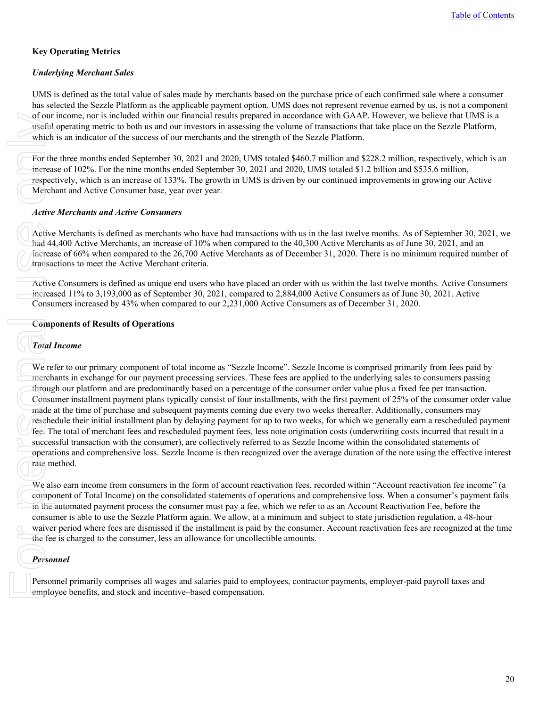### **Key Operating Metrics**

### *Underlying Merchant Sales*

UMS is defined as the total value of sales made by merchants based on the purchase price of each confirmed sale where a consumer has selected the Sezzle Platform as the applicable payment option. UMS does not represent revenue earned by us, is not a component of our income, nor is included within our financial results prepared in accordance with GAAP. However, we believe that UMS is a useful operating metric to both us and our investors in assessing the volume of transactions that take place on the Sezzle Platform, which is an indicator of the success of our merchants and the strength of the Sezzle Platform.

For the three months ended September 30, 2021 and 2020, UMS totaled \$460.7 million and \$228.2 million, respectively, which is an increase of 102%. For the nine months ended September 30, 2021 and 2020, UMS totaled \$1.2 billion and \$535.6 million, respectively, which is an increase of 133%. The growth in UMS is driven by our continued improvements in growing our Active Merchant and Active Consumer base, year over year.

#### *Active Merchants and Active Consumers*

Active Merchants is defined as merchants who have had transactions with us in the last twelve months. As of September 30, 2021, we had 44,400 Active Merchants, an increase of 10% when compared to the 40,300 Active Merchants as of June 30, 2021, and an increase of 66% when compared to the 26,700 Active Merchants as of December 31, 2020. There is no minimum required number of transactions to meet the Active Merchant criteria.

Active Consumers is defined as unique end users who have placed an order with us within the last twelve months. Active Consumers increased 11% to 3,193,000 as of September 30, 2021, compared to 2,884,000 Active Consumers as of June 30, 2021. Active Consumers increased by 43% when compared to our 2,231,000 Active Consumers as of December 31, 2020.

### **Components of Results of Operations**

### *Total Income*

We refer to our primary component of total income as "Sezzle Income". Sezzle Income is comprised primarily from fees paid by merchants in exchange for our payment processing services. These fees are applied to the underlying sales to consumers passing through our platform and are predominantly based on a percentage of the consumer order value plus a fixed fee per transaction. Consumer installment payment plans typically consist of four installments, with the first payment of 25% of the consumer order value made at the time of purchase and subsequent payments coming due every two weeks thereafter. Additionally, consumers may reschedule their initial installment plan by delaying payment for up to two weeks, for which we generally earn a rescheduled payment fee. The total of merchant fees and rescheduled payment fees, less note origination costs (underwriting costs incurred that result in a successful transaction with the consumer), are collectively referred to as Sezzle Income within the consolidated statements of operations and comprehensive loss. Sezzle Income is then recognized over the average duration of the note using the effective interest rate method. of our<br>
useful<br>
which<br>
For the<br>
increas<br>
respec<br>
Merch<br> *Active*<br>
Active<br>
Active<br>
Active<br>
Active<br>
Active<br>
Active<br>
Active<br>
Active<br>
Toral and a<br>
Toral Lincreas<br>
Consu<br>
Consu<br>
Consu<br>
Toral Lincreas<br>
Consu<br>
made a<br>
resche<br>
fee

We also earn income from consumers in the form of account reactivation fees, recorded within "Account reactivation fee income" (a component of Total Income) on the consolidated statements of operations and comprehensive loss. When a consumer's payment fails in the automated payment process the consumer must pay a fee, which we refer to as an Account Reactivation Fee, before the consumer is able to use the Sezzle Platform again. We allow, at a minimum and subject to state jurisdiction regulation, a 48-hour waiver period where fees are dismissed if the installment is paid by the consumer. Account reactivation fees are recognized at the time the fee is charged to the consumer, less an allowance for uncollectible amounts.

### *Personnel*

Personnel primarily comprises all wages and salaries paid to employees, contractor payments, employer-paid payroll taxes and employee benefits, and stock and incentive–based compensation.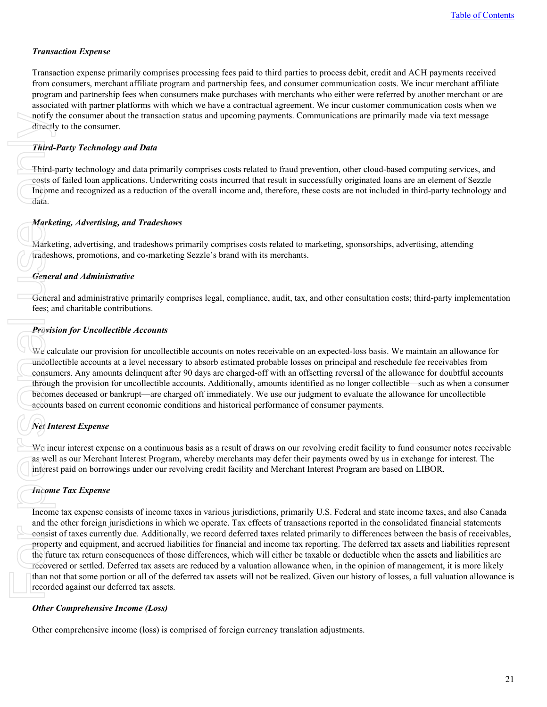### *Transaction Expense*

Transaction expense primarily comprises processing fees paid to third parties to process debit, credit and ACH payments received from consumers, merchant affiliate program and partnership fees, and consumer communication costs. We incur merchant affiliate program and partnership fees when consumers make purchases with merchants who either were referred by another merchant or are associated with partner platforms with which we have a contractual agreement. We incur customer communication costs when we notify the consumer about the transaction status and upcoming payments. Communications are primarily made via text message directly to the consumer.

### *Third-Party Technology and Data*

Third-party technology and data primarily comprises costs related to fraud prevention, other cloud-based computing services, and costs of failed loan applications. Underwriting costs incurred that result in successfully originated loans are an element of Sezzle Income and recognized as a reduction of the overall income and, therefore, these costs are not included in third-party technology and data.

### *Marketing, Advertising, and Tradeshows*

Marketing, advertising, and tradeshows primarily comprises costs related to marketing, sponsorships, advertising, attending tradeshows, promotions, and co-marketing Sezzle's brand with its merchants.

### *General and Administrative*

General and administrative primarily comprises legal, compliance, audit, tax, and other consultation costs; third-party implementation fees; and charitable contributions.

### *Provision for Uncollectible Accounts*

We calculate our provision for uncollectible accounts on notes receivable on an expected-loss basis. We maintain an allowance for uncollectible accounts at a level necessary to absorb estimated probable losses on principal and reschedule fee receivables from consumers. Any amounts delinquent after 90 days are charged-off with an offsetting reversal of the allowance for doubtful accounts through the provision for uncollectible accounts. Additionally, amounts identified as no longer collectible—such as when a consumer becomes deceased or bankrupt—are charged off immediately. We use our judgment to evaluate the allowance for uncollectible accounts based on current economic conditions and historical performance of consumer payments.

# *Net Interest Expense*

We incur interest expense on a continuous basis as a result of draws on our revolving credit facility to fund consumer notes receivable as well as our Merchant Interest Program, whereby merchants may defer their payments owed by us in exchange for interest. The interest paid on borrowings under our revolving credit facility and Merchant Interest Program are based on LIBOR.

### *Income Tax Expense*

Income tax expense consists of income taxes in various jurisdictions, primarily U.S. Federal and state income taxes, and also Canada and the other foreign jurisdictions in which we operate. Tax effects of transactions reported in the consolidated financial statements consist of taxes currently due. Additionally, we record deferred taxes related primarily to differences between the basis of receivables, property and equipment, and accrued liabilities for financial and income tax reporting. The deferred tax assets and liabilities represent the future tax return consequences of those differences, which will either be taxable or deductible when the assets and liabilities are recovered or settled. Deferred tax assets are reduced by a valuation allowance when, in the opinion of management, it is more likely than not that some portion or all of the deferred tax assets will not be realized. Given our history of losses, a full valuation allowance is recorded against our deferred tax assets. notify<br>
directl<br>
Third-<br>
Third-<br>
Costs c<br>
Incom<br>
data.<br>
Marke<br>
Marke<br>
Marke<br>
Third-<br>
Costa and the consum<br>
frows<br>
Cener<br>
Gener<br>
Gener<br>
Gener<br>
durcolle<br>
consum<br>
throug<br>
decom<br>
accour<br>
Me interes<br>
accour<br>
Me interes<br>
Incom<br>

### *Other Comprehensive Income (Loss)*

Other comprehensive income (loss) is comprised of foreign currency translation adjustments.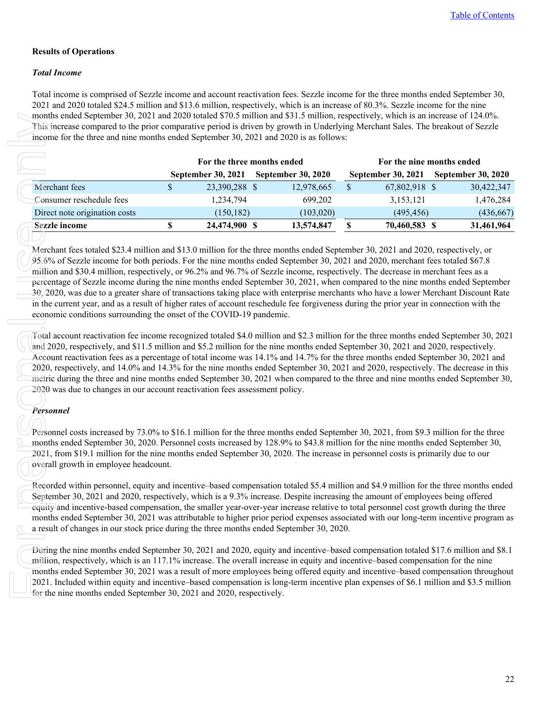### **Results of Operations**

### *Total Income*

Total income is comprised of Sezzle income and account reactivation fees. Sezzle income for the three months ended September 30, 2021 and 2020 totaled \$24.5 million and \$13.6 million, respectively, which is an increase of 80.3%. Sezzle income for the nine months ended September 30, 2021 and 2020 totaled \$70.5 million and \$31.5 million, respectively, which is an increase of 124.0%. income for the three and nine months ended September 30, 2021 and 2020 is as follows:

|                                                                                                                                                                                                                                                                                                                                                                                                                                                                                                                                                                                                                                                                                                                                                                                                                                                                                                                                                                                                                                                                                                                                |              | For the three months ended |                           |              | For the nine months ended |                           |
|--------------------------------------------------------------------------------------------------------------------------------------------------------------------------------------------------------------------------------------------------------------------------------------------------------------------------------------------------------------------------------------------------------------------------------------------------------------------------------------------------------------------------------------------------------------------------------------------------------------------------------------------------------------------------------------------------------------------------------------------------------------------------------------------------------------------------------------------------------------------------------------------------------------------------------------------------------------------------------------------------------------------------------------------------------------------------------------------------------------------------------|--------------|----------------------------|---------------------------|--------------|---------------------------|---------------------------|
|                                                                                                                                                                                                                                                                                                                                                                                                                                                                                                                                                                                                                                                                                                                                                                                                                                                                                                                                                                                                                                                                                                                                |              | September 30, 2021         | <b>September 30, 2020</b> |              | September 30, 2021        | <b>September 30, 2020</b> |
| Merchant fees                                                                                                                                                                                                                                                                                                                                                                                                                                                                                                                                                                                                                                                                                                                                                                                                                                                                                                                                                                                                                                                                                                                  | $\mathbb{S}$ | 23,390,288 \$              | 12,978,665                | $\mathbb{S}$ | 67,802,918 \$             | 30,422,347                |
| Consumer reschedule fees                                                                                                                                                                                                                                                                                                                                                                                                                                                                                                                                                                                                                                                                                                                                                                                                                                                                                                                                                                                                                                                                                                       |              | 1,234,794                  | 699,202                   |              | 3,153,121                 | 1,476,284                 |
| Direct note origination costs                                                                                                                                                                                                                                                                                                                                                                                                                                                                                                                                                                                                                                                                                                                                                                                                                                                                                                                                                                                                                                                                                                  |              | (150, 182)                 | (103, 020)                |              | (495, 456)                | (436, 667)                |
| <b>Sezzle</b> income                                                                                                                                                                                                                                                                                                                                                                                                                                                                                                                                                                                                                                                                                                                                                                                                                                                                                                                                                                                                                                                                                                           | \$           | 24,474,900 \$              | 13,574,847                | $\mathbb S$  | 70,460,583 \$             | 31,461,964                |
| 30, 2020, was due to a greater share of transactions taking place with enterprise merchants who have a lower Merchant Discount Rate<br>in the current year, and as a result of higher rates of account reschedule fee forgiveness during the prior year in connection with the<br>economic conditions surrounding the onset of the COVID-19 pandemic.<br>Total account reactivation fee income recognized totaled \$4.0 million and \$2.3 million for the three months ended September 30, 2021<br>and 2020, respectively, and \$11.5 million and \$5.2 million for the nine months ended September 30, 2021 and 2020, respectively.<br>Account reactivation fees as a percentage of total income was 14.1% and 14.7% for the three months ended September 30, 2021 and<br>2020, respectively, and 14.0% and 14.3% for the nine months ended September 30, 2021 and 2020, respectively. The decrease in this<br>metric during the three and nine months ended September 30, 2021 when compared to the three and nine months ended September 30,<br>2020 was due to changes in our account reactivation fees assessment policy. |              |                            |                           |              |                           |                           |
| Personnel<br>Personnel costs increased by 73.0% to \$16.1 million for the three months ended September 30, 2021, from \$9.3 million for the three<br>months ended September 30, 2020. Personnel costs increased by 128.9% to \$43.8 million for the nine months ended September 30,<br>2021, from \$19.1 million for the nine months ended September 30, 2020. The increase in personnel costs is primarily due to our<br>overall growth in employee headcount.                                                                                                                                                                                                                                                                                                                                                                                                                                                                                                                                                                                                                                                                |              |                            |                           |              |                           |                           |
| Recorded within personnel, equity and incentive-based compensation totaled \$5.4 million and \$4.9 million for the three months ended<br>September 30, 2021 and 2020, respectively, which is a 9.3% increase. Despite increasing the amount of employees being offered<br>equity and incentive-based compensation, the smaller year-over-year increase relative to total personnel cost growth during the three<br>months ended September 30, 2021 was attributable to higher prior period expenses associated with our long-term incentive program as<br>a result of changes in our stock price during the three months ended September 30, 2020.                                                                                                                                                                                                                                                                                                                                                                                                                                                                             |              |                            |                           |              |                           |                           |
| During the nine months ended September 30, 2021 and 2020, equity and incentive-based compensation totaled \$17.6 million and \$8.1<br>million, respectively, which is an 117.1% increase. The overall increase in equity and incentive-based compensation for the nine<br>months ended September 30, 2021 was a result of more employees being offered equity and incentive-based compensation throughout<br>2021. Included within equity and incentive-based compensation is long-term incentive plan expenses of \$6.1 million and \$3.5 million                                                                                                                                                                                                                                                                                                                                                                                                                                                                                                                                                                             |              |                            |                           |              |                           |                           |

### *Personnel*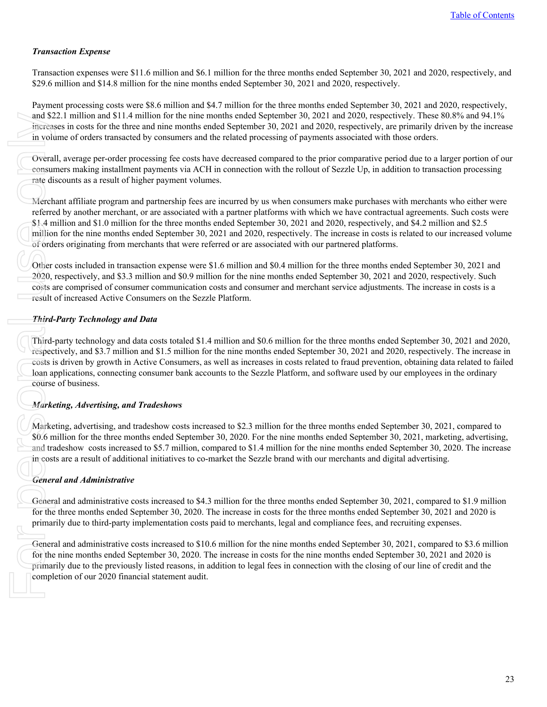### *Transaction Expense*

Transaction expenses were \$11.6 million and \$6.1 million for the three months ended September 30, 2021 and 2020, respectively, and \$29.6 million and \$14.8 million for the nine months ended September 30, 2021 and 2020, respectively.

Payment processing costs were \$8.6 million and \$4.7 million for the three months ended September 30, 2021 and 2020, respectively, and \$22.1 million and \$11.4 million for the nine months ended September 30, 2021 and 2020, respectively. These 80.8% and 94.1% increases in costs for the three and nine months ended September 30, 2021 and 2020, respectively, are primarily driven by the increase in volume of orders transacted by consumers and the related processing of payments associated with those orders.

Overall, average per-order processing fee costs have decreased compared to the prior comparative period due to a larger portion of our consumers making installment payments via ACH in connection with the rollout of Sezzle Up, in addition to transaction processing rate discounts as a result of higher payment volumes.

Merchant affiliate program and partnership fees are incurred by us when consumers make purchases with merchants who either were referred by another merchant, or are associated with a partner platforms with which we have contractual agreements. Such costs were \$1.4 million and \$1.0 million for the three months ended September 30, 2021 and 2020, respectively, and \$4.2 million and \$2.5 million for the nine months ended September 30, 2021 and 2020, respectively. The increase in costs is related to our increased volume of orders originating from merchants that were referred or are associated with our partnered platforms.

Other costs included in transaction expense were \$1.6 million and \$0.4 million for the three months ended September 30, 2021 and 2020, respectively, and \$3.3 million and \$0.9 million for the nine months ended September 30, 2021 and 2020, respectively. Such costs are comprised of consumer communication costs and consumer and merchant service adjustments. The increase in costs is a result of increased Active Consumers on the Sezzle Platform.

### *Third-Party Technology and Data*

Third-party technology and data costs totaled \$1.4 million and \$0.6 million for the three months ended September 30, 2021 and 2020, respectively, and \$3.7 million and \$1.5 million for the nine months ended September 30, 2021 and 2020, respectively. The increase in costs is driven by growth in Active Consumers, as well as increases in costs related to fraud prevention, obtaining data related to failed loan applications, connecting consumer bank accounts to the Sezzle Platform, and software used by our employees in the ordinary course of business. and \$2<br>
in volt<br>
overal<br>
consur<br>
rate discussed<br>
methed and the million<br>
of order<br>
of order<br>
of order<br> *Third*<br>
Third<br>
Third<br>
Third<br>
Third<br>
Third<br>
Third<br>
Third<br>
Third<br>
Third<br>
Third<br>
Third<br>
Third<br>
Espec<br>
costs is<br>
loan and

### *Marketing, Advertising, and Tradeshows*

Marketing, advertising, and tradeshow costs increased to \$2.3 million for the three months ended September 30, 2021, compared to \$0.6 million for the three months ended September 30, 2020. For the nine months ended September 30, 2021, marketing, advertising, and tradeshow costs increased to \$5.7 million, compared to \$1.4 million for the nine months ended September 30, 2020. The increase in costs are a result of additional initiatives to co-market the Sezzle brand with our merchants and digital advertising.

### *General and Administrative*

General and administrative costs increased to \$4.3 million for the three months ended September 30, 2021, compared to \$1.9 million for the three months ended September 30, 2020. The increase in costs for the three months ended September 30, 2021 and 2020 is primarily due to third-party implementation costs paid to merchants, legal and compliance fees, and recruiting expenses.

General and administrative costs increased to \$10.6 million for the nine months ended September 30, 2021, compared to \$3.6 million for the nine months ended September 30, 2020. The increase in costs for the nine months ended September 30, 2021 and 2020 is primarily due to the previously listed reasons, in addition to legal fees in connection with the closing of our line of credit and the completion of our 2020 financial statement audit.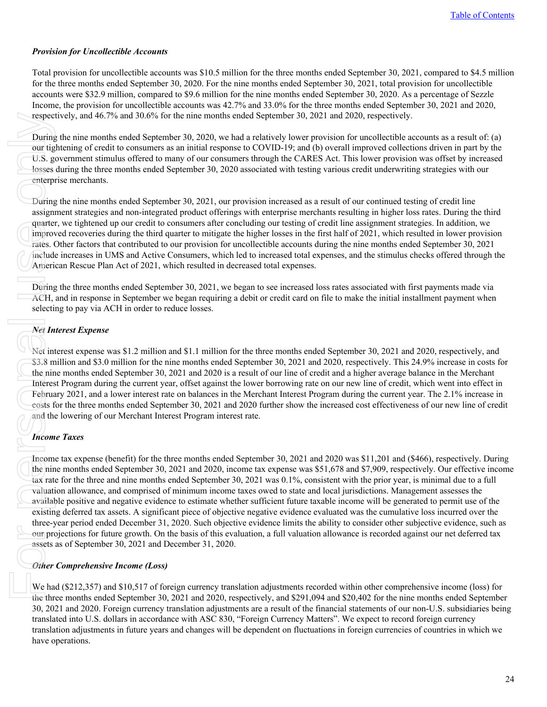### *Provision for Uncollectible Accounts*

Total provision for uncollectible accounts was \$10.5 million for the three months ended September 30, 2021, compared to \$4.5 million for the three months ended September 30, 2020. For the nine months ended September 30, 2021, total provision for uncollectible accounts were \$32.9 million, compared to \$9.6 million for the nine months ended September 30, 2020. As a percentage of Sezzle Income, the provision for uncollectible accounts was 42.7% and 33.0% for the three months ended September 30, 2021 and 2020, respectively, and 46.7% and 30.6% for the nine months ended September 30, 2021 and 2020, respectively.

During the nine months ended September 30, 2020, we had a relatively lower provision for uncollectible accounts as a result of: (a) our tightening of credit to consumers as an initial response to COVID-19; and (b) overall improved collections driven in part by the U.S. government stimulus offered to many of our consumers through the CARES Act. This lower provision was offset by increased losses during the three months ended September 30, 2020 associated with testing various credit underwriting strategies with our enterprise merchants.

During the nine months ended September 30, 2021, our provision increased as a result of our continued testing of credit line assignment strategies and non-integrated product offerings with enterprise merchants resulting in higher loss rates. During the third quarter, we tightened up our credit to consumers after concluding our testing of credit line assignment strategies. In addition, we improved recoveries during the third quarter to mitigate the higher losses in the first half of 2021, which resulted in lower provision rates. Other factors that contributed to our provision for uncollectible accounts during the nine months ended September 30, 2021 include increases in UMS and Active Consumers, which led to increased total expenses, and the stimulus checks offered through the American Rescue Plan Act of 2021, which resulted in decreased total expenses.

During the three months ended September 30, 2021, we began to see increased loss rates associated with first payments made via ACH, and in response in September we began requiring a debit or credit card on file to make the initial installment payment when selecting to pay via ACH in order to reduce losses.

#### *Net Interest Expense*

Net interest expense was \$1.2 million and \$1.1 million for the three months ended September 30, 2021 and 2020, respectively, and \$3.8 million and \$3.0 million for the nine months ended September 30, 2021 and 2020, respectively. This 24.9% increase in costs for the nine months ended September 30, 2021 and 2020 is a result of our line of credit and a higher average balance in the Merchant Interest Program during the current year, offset against the lower borrowing rate on our new line of credit, which went into effect in February 2021, and a lower interest rate on balances in the Merchant Interest Program during the current year. The 2.1% increase in costs for the three months ended September 30, 2021 and 2020 further show the increased cost effectiveness of our new line of credit and the lowering of our Merchant Interest Program interest rate.

### *Income Taxes*

Income tax expense (benefit) for the three months ended September 30, 2021 and 2020 was \$11,201 and (\$466), respectively. During the nine months ended September 30, 2021 and 2020, income tax expense was \$51,678 and \$7,909, respectively. Our effective income tax rate for the three and nine months ended September 30, 2021 was 0.1%, consistent with the prior year, is minimal due to a full valuation allowance, and comprised of minimum income taxes owed to state and local jurisdictions. Management assesses the available positive and negative evidence to estimate whether sufficient future taxable income will be generated to permit use of the existing deferred tax assets. A significant piece of objective negative evidence evaluated was the cumulative loss incurred over the three-year period ended December 31, 2020. Such objective evidence limits the ability to consider other subjective evidence, such as our projections for future growth. On the basis of this evaluation, a full valuation allowance is recorded against our net deferred tax assets as of September 30, 2021 and December 31, 2020. respect<br>
During<br>
our tig<br>
U.S. g<br>
losses<br>
enterpi<br>
During<br>
assigniquarter<br>
mproverates. (<br>
include<br>
Ameri<br>
Met Include<br>
Ameri<br>
During<br>
ACH, selecti<br>
Net Internet in S3.8 m<br>
the nine lines<br>
Februa<br>
costs f<br>
and the nine lin

### *Other Comprehensive Income (Loss)*

We had (\$212,357) and \$10,517 of foreign currency translation adjustments recorded within other comprehensive income (loss) for the three months ended September 30, 2021 and 2020, respectively, and \$291,094 and \$20,402 for the nine months ended September 30, 2021 and 2020. Foreign currency translation adjustments are a result of the financial statements of our non-U.S. subsidiaries being translated into U.S. dollars in accordance with ASC 830, "Foreign Currency Matters". We expect to record foreign currency translation adjustments in future years and changes will be dependent on fluctuations in foreign currencies of countries in which we have operations.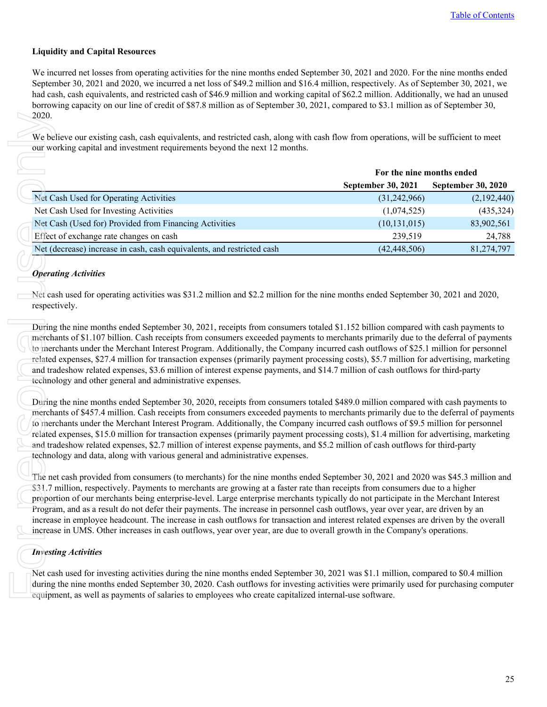### **Liquidity and Capital Resources**

We incurred net losses from operating activities for the nine months ended September 30, 2021 and 2020. For the nine months ended September 30, 2021 and 2020, we incurred a net loss of \$49.2 million and \$16.4 million, respectively. As of September 30, 2021, we had cash, cash equivalents, and restricted cash of \$46.9 million and working capital of \$62.2 million. Additionally, we had an unused borrowing capacity on our line of credit of \$87.8 million as of September 30, 2021, compared to \$3.1 million as of September 30, 2020.

|                                                                                                                                                                                                                                                                                                                                                                                                                                                                                                                                                                                                                                                                                                                                                                                                                                                                                                                                                                                                                                      | For the nine months ended |                           |
|--------------------------------------------------------------------------------------------------------------------------------------------------------------------------------------------------------------------------------------------------------------------------------------------------------------------------------------------------------------------------------------------------------------------------------------------------------------------------------------------------------------------------------------------------------------------------------------------------------------------------------------------------------------------------------------------------------------------------------------------------------------------------------------------------------------------------------------------------------------------------------------------------------------------------------------------------------------------------------------------------------------------------------------|---------------------------|---------------------------|
|                                                                                                                                                                                                                                                                                                                                                                                                                                                                                                                                                                                                                                                                                                                                                                                                                                                                                                                                                                                                                                      | September 30, 2021        | <b>September 30, 2020</b> |
| Net Cash Used for Operating Activities                                                                                                                                                                                                                                                                                                                                                                                                                                                                                                                                                                                                                                                                                                                                                                                                                                                                                                                                                                                               | (31, 242, 966)            | (2,192,440)               |
| Net Cash Used for Investing Activities                                                                                                                                                                                                                                                                                                                                                                                                                                                                                                                                                                                                                                                                                                                                                                                                                                                                                                                                                                                               | (1,074,525)               | (435, 324)                |
| Net Cash (Used for) Provided from Financing Activities                                                                                                                                                                                                                                                                                                                                                                                                                                                                                                                                                                                                                                                                                                                                                                                                                                                                                                                                                                               | (10, 131, 015)            | 83,902,561                |
| Effect of exchange rate changes on cash                                                                                                                                                                                                                                                                                                                                                                                                                                                                                                                                                                                                                                                                                                                                                                                                                                                                                                                                                                                              | 239,519                   | 24,788                    |
| Net (decrease) increase in cash, cash equivalents, and restricted cash                                                                                                                                                                                                                                                                                                                                                                                                                                                                                                                                                                                                                                                                                                                                                                                                                                                                                                                                                               | (42, 448, 506)            | 81,274,797                |
|                                                                                                                                                                                                                                                                                                                                                                                                                                                                                                                                                                                                                                                                                                                                                                                                                                                                                                                                                                                                                                      |                           |                           |
| merchants of \$1.107 billion. Cash receipts from consumers exceeded payments to merchants primarily due to the deferral of payments<br>to merchants under the Merchant Interest Program. Additionally, the Company incurred cash outflows of \$25.1 million for personnel<br>related expenses, \$27.4 million for transaction expenses (primarily payment processing costs), \$5.7 million for advertising, marketing                                                                                                                                                                                                                                                                                                                                                                                                                                                                                                                                                                                                                |                           |                           |
| and tradeshow related expenses, \$3.6 million of interest expense payments, and \$14.7 million of cash outflows for third-party<br>technology and other general and administrative expenses.                                                                                                                                                                                                                                                                                                                                                                                                                                                                                                                                                                                                                                                                                                                                                                                                                                         |                           |                           |
| During the nine months ended September 30, 2020, receipts from consumers totaled \$489.0 million compared with cash payments to<br>merchants of \$457.4 million. Cash receipts from consumers exceeded payments to merchants primarily due to the deferral of payments<br>to merchants under the Merchant Interest Program. Additionally, the Company incurred cash outflows of \$9.5 million for personnel<br>related expenses, \$15.0 million for transaction expenses (primarily payment processing costs), \$1.4 million for advertising, marketing                                                                                                                                                                                                                                                                                                                                                                                                                                                                              |                           |                           |
|                                                                                                                                                                                                                                                                                                                                                                                                                                                                                                                                                                                                                                                                                                                                                                                                                                                                                                                                                                                                                                      |                           |                           |
| and tradeshow related expenses, \$2.7 million of interest expense payments, and \$5.2 million of cash outflows for third-party<br>technology and data, along with various general and administrative expenses.<br>The net cash provided from consumers (to merchants) for the nine months ended September 30, 2021 and 2020 was \$45.3 million and<br>\$31.7 million, respectively. Payments to merchants are growing at a faster rate than receipts from consumers due to a higher<br>proportion of our merchants being enterprise-level. Large enterprise merchants typically do not participate in the Merchant Interest<br>Program, and as a result do not defer their payments. The increase in personnel cash outflows, year over year, are driven by an<br>increase in employee headcount. The increase in cash outflows for transaction and interest related expenses are driven by the overall<br>increase in UMS. Other increases in cash outflows, year over year, are due to overall growth in the Company's operations. |                           |                           |
| <b>Investing Activities</b>                                                                                                                                                                                                                                                                                                                                                                                                                                                                                                                                                                                                                                                                                                                                                                                                                                                                                                                                                                                                          |                           |                           |

### *Operating Activities*

### *Investing Activities*

Net cash used for investing activities during the nine months ended September 30, 2021 was \$1.1 million, compared to \$0.4 million during the nine months ended September 30, 2020. Cash outflows for investing activities were primarily used for purchasing computer equipment, as well as payments of salaries to employees who create capitalized internal-use software.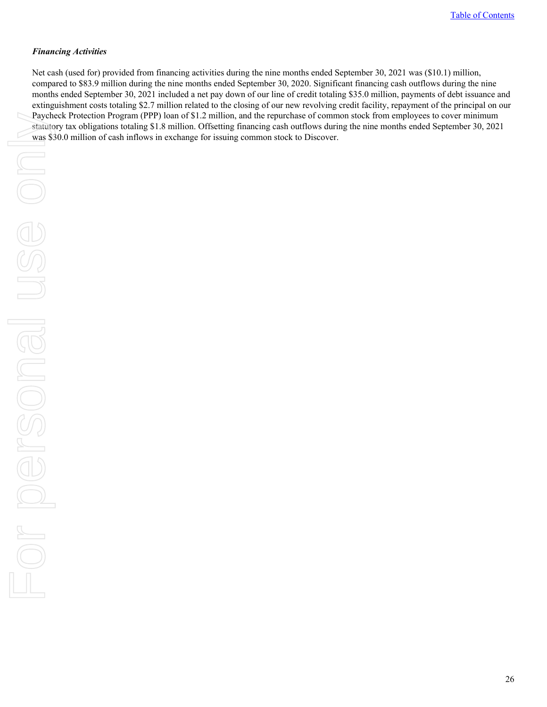### *Financing Activities*

Net cash (used for) provided from financing activities during the nine months ended September 30, 2021 was (\$10.1) million, compared to \$83.9 million during the nine months ended September 30, 2020. Significant financing cash outflows during the nine months ended September 30, 2021 included a net pay down of our line of credit totaling \$35.0 million, payments of debt issuance and extinguishment costs totaling \$2.7 million related to the closing of our new revolving credit facility, repayment of the principal on our Paycheck Protection Program (PPP) loan of \$1.2 million, and the repurchase of common stock from employees to cover minimum statutory tax obligations totaling \$1.8 million. Offsetting financing cash outflows during the nine months ended September 30, 2021 was \$30.0 million of cash inflows in exchange for issuing common stock to Discover.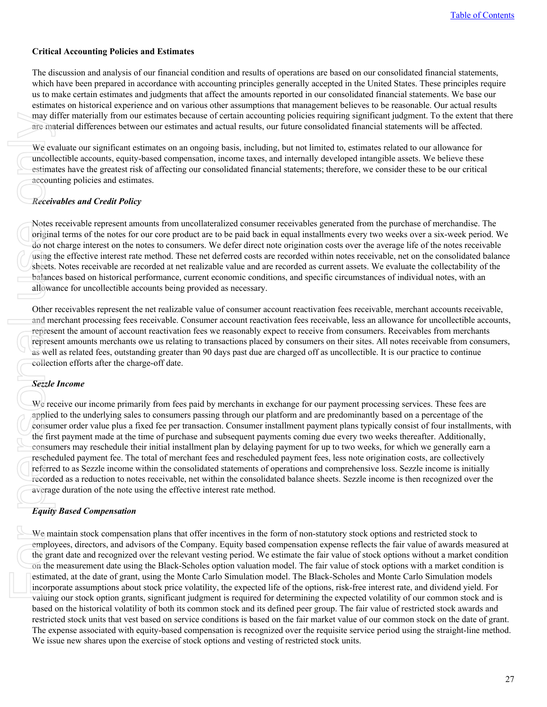### **Critical Accounting Policies and Estimates**

The discussion and analysis of our financial condition and results of operations are based on our consolidated financial statements, which have been prepared in accordance with accounting principles generally accepted in the United States. These principles require us to make certain estimates and judgments that affect the amounts reported in our consolidated financial statements. We base our estimates on historical experience and on various other assumptions that management believes to be reasonable. Our actual results may differ materially from our estimates because of certain accounting policies requiring significant judgment. To the extent that there are material differences between our estimates and actual results, our future consolidated financial statements will be affected.

We evaluate our significant estimates on an ongoing basis, including, but not limited to, estimates related to our allowance for uncollectible accounts, equity-based compensation, income taxes, and internally developed intangible assets. We believe these estimates have the greatest risk of affecting our consolidated financial statements; therefore, we consider these to be our critical accounting policies and estimates.

### *Receivables and Credit Policy*

Notes receivable represent amounts from uncollateralized consumer receivables generated from the purchase of merchandise. The original terms of the notes for our core product are to be paid back in equal installments every two weeks over a six-week period. We do not charge interest on the notes to consumers. We defer direct note origination costs over the average life of the notes receivable using the effective interest rate method. These net deferred costs are recorded within notes receivable, net on the consolidated balance sheets. Notes receivable are recorded at net realizable value and are recorded as current assets. We evaluate the collectability of the balances based on historical performance, current economic conditions, and specific circumstances of individual notes, with an allowance for uncollectible accounts being provided as necessary.

Other receivables represent the net realizable value of consumer account reactivation fees receivable, merchant accounts receivable, and merchant processing fees receivable. Consumer account reactivation fees receivable, less an allowance for uncollectible accounts, represent the amount of account reactivation fees we reasonably expect to receive from consumers. Receivables from merchants represent amounts merchants owe us relating to transactions placed by consumers on their sites. All notes receivable from consumers, as well as related fees, outstanding greater than 90 days past due are charged off as uncollectible. It is our practice to continue collection efforts after the charge-off date.

### *Sezzle Income*

We receive our income primarily from fees paid by merchants in exchange for our payment processing services. These fees are applied to the underlying sales to consumers passing through our platform and are predominantly based on a percentage of the consumer order value plus a fixed fee per transaction. Consumer installment payment plans typically consist of four installments, with the first payment made at the time of purchase and subsequent payments coming due every two weeks thereafter. Additionally, consumers may reschedule their initial installment plan by delaying payment for up to two weeks, for which we generally earn a rescheduled payment fee. The total of merchant fees and rescheduled payment fees, less note origination costs, are collectively referred to as Sezzle income within the consolidated statements of operations and comprehensive loss. Sezzle income is initially recorded as a reduction to notes receivable, net within the consolidated balance sheets. Sezzle income is then recognized over the average duration of the note using the effective interest rate method. may diverse are the contract of the exert we contract the exert of the state of the state of the exert of the exert of the exert of the exert of the exert of the exert of the exert of the exert of the graphic only the firs

### *Equity Based Compensation*

We maintain stock compensation plans that offer incentives in the form of non-statutory stock options and restricted stock to employees, directors, and advisors of the Company. Equity based compensation expense reflects the fair value of awards measured at the grant date and recognized over the relevant vesting period. We estimate the fair value of stock options without a market condition on the measurement date using the Black-Scholes option valuation model. The fair value of stock options with a market condition is estimated, at the date of grant, using the Monte Carlo Simulation model. The Black-Scholes and Monte Carlo Simulation models incorporate assumptions about stock price volatility, the expected life of the options, risk-free interest rate, and dividend yield. For valuing our stock option grants, significant judgment is required for determining the expected volatility of our common stock and is based on the historical volatility of both its common stock and its defined peer group. The fair value of restricted stock awards and restricted stock units that vest based on service conditions is based on the fair market value of our common stock on the date of grant. The expense associated with equity-based compensation is recognized over the requisite service period using the straight-line method. We issue new shares upon the exercise of stock options and vesting of restricted stock units.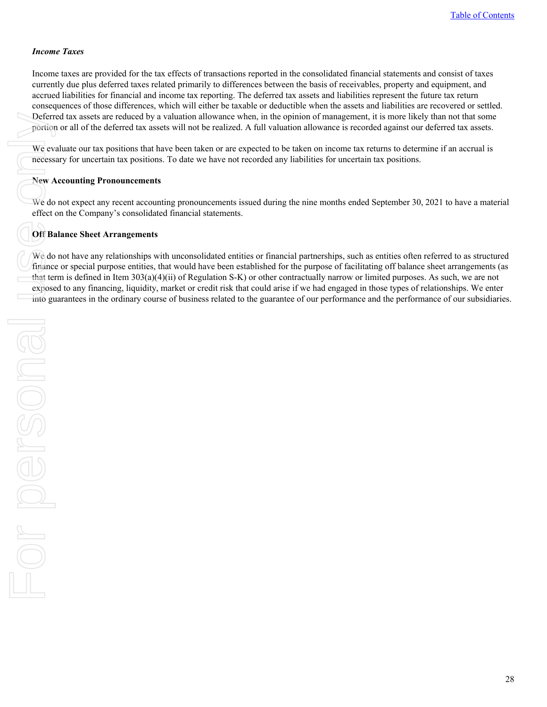#### *Income Taxes*

Income taxes are provided for the tax effects of transactions reported in the consolidated financial statements and consist of taxes currently due plus deferred taxes related primarily to differences between the basis of receivables, property and equipment, and accrued liabilities for financial and income tax reporting. The deferred tax assets and liabilities represent the future tax return consequences of those differences, which will either be taxable or deductible when the assets and liabilities are recovered or settled. Deferred tax assets are reduced by a valuation allowance when, in the opinion of management, it is more likely than not that some portion or all of the deferred tax assets will not be realized. A full valuation allowance is recorded against our deferred tax assets.

We evaluate our tax positions that have been taken or are expected to be taken on income tax returns to determine if an accrual is necessary for uncertain tax positions. To date we have not recorded any liabilities for uncertain tax positions.

#### **New Accounting Pronouncements**

We do not expect any recent accounting pronouncements issued during the nine months ended September 30, 2021 to have a material effect on the Company's consolidated financial statements.

### **Off Balance Sheet Arrangements**

We do not have any relationships with unconsolidated entities or financial partnerships, such as entities often referred to as structured finance or special purpose entities, that would have been established for the purpose of facilitating off balance sheet arrangements (as that term is defined in Item 303(a)(4)(ii) of Regulation S-K) or other contractually narrow or limited purposes. As such, we are not exposed to any financing, liquidity, market or credit risk that could arise if we had engaged in those types of relationships. We enter into guarantees in the ordinary course of business related to the guarantee of our performance and the performance of our subsidiaries.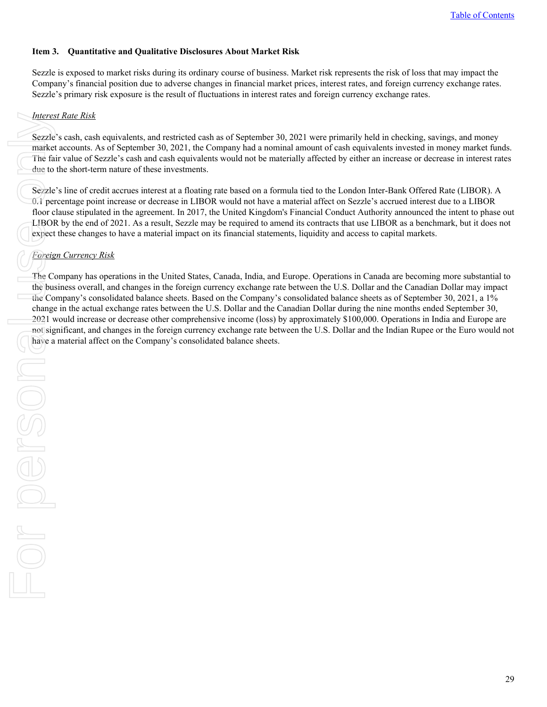### <span id="page-28-0"></span>**Item 3. Quantitative and Qualitative Disclosures About Market Risk**

Sezzle is exposed to market risks during its ordinary course of business. Market risk represents the risk of loss that may impact the Company's financial position due to adverse changes in financial market prices, interest rates, and foreign currency exchange rates. Sezzle's primary risk exposure is the result of fluctuations in interest rates and foreign currency exchange rates.

### *Interest Rate Risk*

Sezzle's cash, cash equivalents, and restricted cash as of September 30, 2021 were primarily held in checking, savings, and money market accounts. As of September 30, 2021, the Company had a nominal amount of cash equivalents invested in money market funds. The fair value of Sezzle's cash and cash equivalents would not be materially affected by either an increase or decrease in interest rates due to the short-term nature of these investments.

Sezzle's line of credit accrues interest at a floating rate based on a formula tied to the London Inter-Bank Offered Rate (LIBOR). A 0.1 percentage point increase or decrease in LIBOR would not have a material affect on Sezzle's accrued interest due to a LIBOR floor clause stipulated in the agreement. In 2017, the United Kingdom's Financial Conduct Authority announced the intent to phase out LIBOR by the end of 2021. As a result, Sezzle may be required to amend its contracts that use LIBOR as a benchmark, but it does not expect these changes to have a material impact on its financial statements, liquidity and access to capital markets.

# *Foreign Currency Risk*

The Company has operations in the United States, Canada, India, and Europe. Operations in Canada are becoming more substantial to the business overall, and changes in the foreign currency exchange rate between the U.S. Dollar and the Canadian Dollar may impact the Company's consolidated balance sheets. Based on the Company's consolidated balance sheets as of September 30, 2021, a 1% change in the actual exchange rates between the U.S. Dollar and the Canadian Dollar during the nine months ended September 30, 2021 would increase or decrease other comprehensive income (loss) by approximately \$100,000. Operations in India and Europe are not significant, and changes in the foreign currency exchange rate between the U.S. Dollar and the Indian Rupee or the Euro would not have a material affect on the Company's consolidated balance sheets.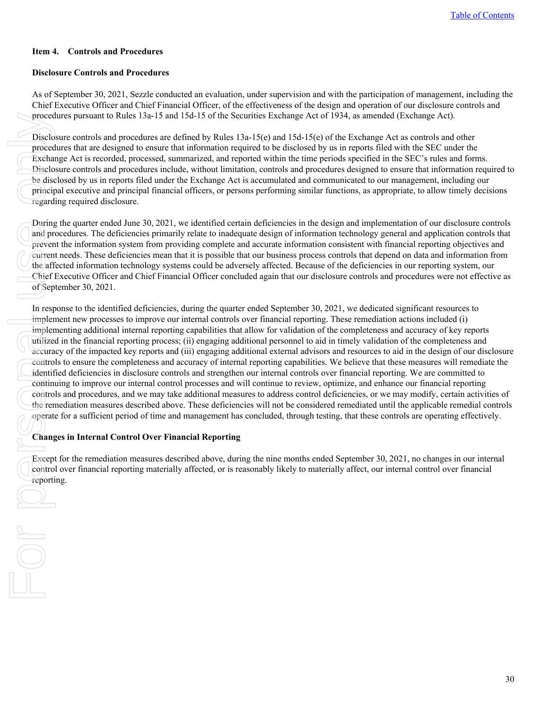### <span id="page-29-0"></span>**Item 4. Controls and Procedures**

#### **Disclosure Controls and Procedures**

As of September 30, 2021, Sezzle conducted an evaluation, under supervision and with the participation of management, including the Chief Executive Officer and Chief Financial Officer, of the effectiveness of the design and operation of our disclosure controls and procedures pursuant to Rules 13a-15 and 15d-15 of the Securities Exchange Act of 1934, as amended (Exchange Act).

Disclosure controls and procedures are defined by Rules 13a-15(e) and 15d-15(e) of the Exchange Act as controls and other procedures that are designed to ensure that information required to be disclosed by us in reports filed with the SEC under the Exchange Act is recorded, processed, summarized, and reported within the time periods specified in the SEC's rules and forms. Disclosure controls and procedures include, without limitation, controls and procedures designed to ensure that information required to be disclosed by us in reports filed under the Exchange Act is accumulated and communicated to our management, including our principal executive and principal financial officers, or persons performing similar functions, as appropriate, to allow timely decisions regarding required disclosure.

During the quarter ended June 30, 2021, we identified certain deficiencies in the design and implementation of our disclosure controls and procedures. The deficiencies primarily relate to inadequate design of information technology general and application controls that prevent the information system from providing complete and accurate information consistent with financial reporting objectives and current needs. These deficiencies mean that it is possible that our business process controls that depend on data and information from the affected information technology systems could be adversely affected. Because of the deficiencies in our reporting system, our Chief Executive Officer and Chief Financial Officer concluded again that our disclosure controls and procedures were not effective as of September 30, 2021.

In response to the identified deficiencies, during the quarter ended September 30, 2021, we dedicated significant resources to implement new processes to improve our internal controls over financial reporting. These remediation actions included (i) implementing additional internal reporting capabilities that allow for validation of the completeness and accuracy of key reports utilized in the financial reporting process; (ii) engaging additional personnel to aid in timely validation of the completeness and accuracy of the impacted key reports and (iii) engaging additional external advisors and resources to aid in the design of our disclosure controls to ensure the completeness and accuracy of internal reporting capabilities. We believe that these measures will remediate the identified deficiencies in disclosure controls and strengthen our internal controls over financial reporting. We are committed to continuing to improve our internal control processes and will continue to review, optimize, and enhance our financial reporting controls and procedures, and we may take additional measures to address control deficiencies, or we may modify, certain activities of the remediation measures described above. These deficiencies will not be considered remediated until the applicable remedial controls operate for a sufficient period of time and management has concluded, through testing, that these controls are operating effectively.

### **Changes in Internal Control Over Financial Reporting**

Except for the remediation measures described above, during the nine months ended September 30, 2021, no changes in our internal control over financial reporting materially affected, or is reasonably likely to materially affect, our internal control over financial reporting.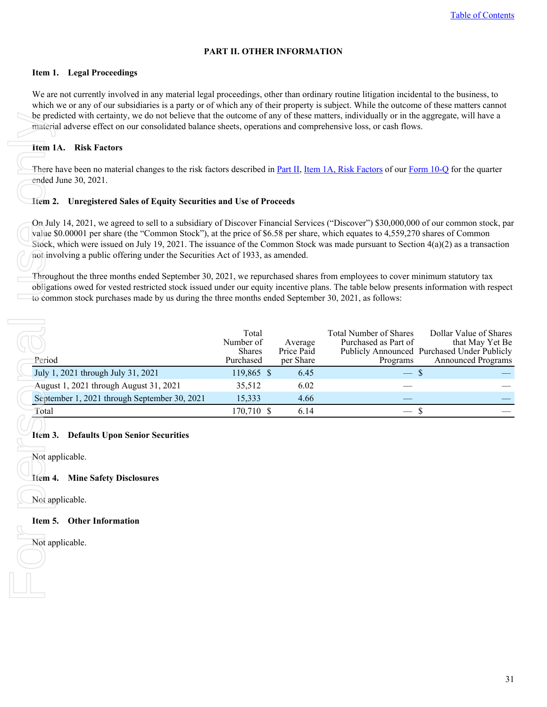### **PART II. OTHER INFORMATION**

#### <span id="page-30-0"></span>**Item 1. Legal Proceedings**

We are not currently involved in any material legal proceedings, other than ordinary routine litigation incidental to the business, to which we or any of our subsidiaries is a party or of which any of their property is subject. While the outcome of these matters cannot be predicted with certainty, we do not believe that the outcome of any of these matters, individually or in the aggregate, will have a material adverse effect on our consolidated balance sheets, operations and comprehensive loss, or cash flows.

### **Item 1A. Risk Factors**

#### **Item 2. Unregistered Sales of Equity Securities and Use of Proceeds**

| be predicted with certainty, we do not believe that the outcome of any of these matters, individually or in the aggregate, will have a<br>material adverse effect on our consolidated balance sheets, operations and comprehensive loss, or cash flows.                                                                                                                                                                                                                                                                                                                                                                                                                                                                                                                                                                                                                      |                                           |                                    |                                                                   |                                                                                                                |
|------------------------------------------------------------------------------------------------------------------------------------------------------------------------------------------------------------------------------------------------------------------------------------------------------------------------------------------------------------------------------------------------------------------------------------------------------------------------------------------------------------------------------------------------------------------------------------------------------------------------------------------------------------------------------------------------------------------------------------------------------------------------------------------------------------------------------------------------------------------------------|-------------------------------------------|------------------------------------|-------------------------------------------------------------------|----------------------------------------------------------------------------------------------------------------|
| <b>Item 1A. Risk Factors</b>                                                                                                                                                                                                                                                                                                                                                                                                                                                                                                                                                                                                                                                                                                                                                                                                                                                 |                                           |                                    |                                                                   |                                                                                                                |
| There have been no material changes to the risk factors described in Part II, Item 1A, Risk Factors of our Form 10-Q for the quarter<br>ended June 30, 2021.<br>Item 2. Unregistered Sales of Equity Securities and Use of Proceeds                                                                                                                                                                                                                                                                                                                                                                                                                                                                                                                                                                                                                                          |                                           |                                    |                                                                   |                                                                                                                |
| On July 14, 2021, we agreed to sell to a subsidiary of Discover Financial Services ("Discover") \$30,000,000 of our common stock, par<br>value \$0.00001 per share (the "Common Stock"), at the price of \$6.58 per share, which equates to 4,559,270 shares of Common<br>Stock, which were issued on July 19, 2021. The issuance of the Common Stock was made pursuant to Section $4(a)(2)$ as a transaction<br>not involving a public offering under the Securities Act of 1933, as amended.<br>Throughout the three months ended September 30, 2021, we repurchased shares from employees to cover minimum statutory tax<br>obligations owed for vested restricted stock issued under our equity incentive plans. The table below presents information with respect<br>to common stock purchases made by us during the three months ended September 30, 2021, as follows: |                                           |                                    |                                                                   |                                                                                                                |
| Period                                                                                                                                                                                                                                                                                                                                                                                                                                                                                                                                                                                                                                                                                                                                                                                                                                                                       | Total<br>Number of<br>Shares<br>Purchased | Average<br>Price Paid<br>per Share | <b>Total Number of Shares</b><br>Purchased as Part of<br>Programs | Dollar Value of Shares<br>that May Yet Be<br>Publicly Announced Purchased Under Publicly<br>Announced Programs |
| July 1, 2021 through July 31, 2021                                                                                                                                                                                                                                                                                                                                                                                                                                                                                                                                                                                                                                                                                                                                                                                                                                           | 119,865 \$                                | 6.45                               | $-$ \$                                                            |                                                                                                                |
| August 1, 2021 through August 31, 2021                                                                                                                                                                                                                                                                                                                                                                                                                                                                                                                                                                                                                                                                                                                                                                                                                                       | 35,512                                    | 6.02                               |                                                                   |                                                                                                                |
| September 1, 2021 through September 30, 2021                                                                                                                                                                                                                                                                                                                                                                                                                                                                                                                                                                                                                                                                                                                                                                                                                                 | 15,333                                    | 4.66                               |                                                                   |                                                                                                                |
| Total                                                                                                                                                                                                                                                                                                                                                                                                                                                                                                                                                                                                                                                                                                                                                                                                                                                                        | 170,710 \$                                | 6.14                               | $-$ \$                                                            |                                                                                                                |
| Item 3. Defaults Upon Senior Securities<br>Not applicable.<br>Item 4. Mine Safety Disclosures<br>Not applicable.<br>Item 5. Other Information<br>Not applicable.                                                                                                                                                                                                                                                                                                                                                                                                                                                                                                                                                                                                                                                                                                             |                                           |                                    |                                                                   |                                                                                                                |
|                                                                                                                                                                                                                                                                                                                                                                                                                                                                                                                                                                                                                                                                                                                                                                                                                                                                              |                                           |                                    |                                                                   |                                                                                                                |

#### **Item 3. Defaults Upon Senior Securities**

#### **Item 5. Other Information**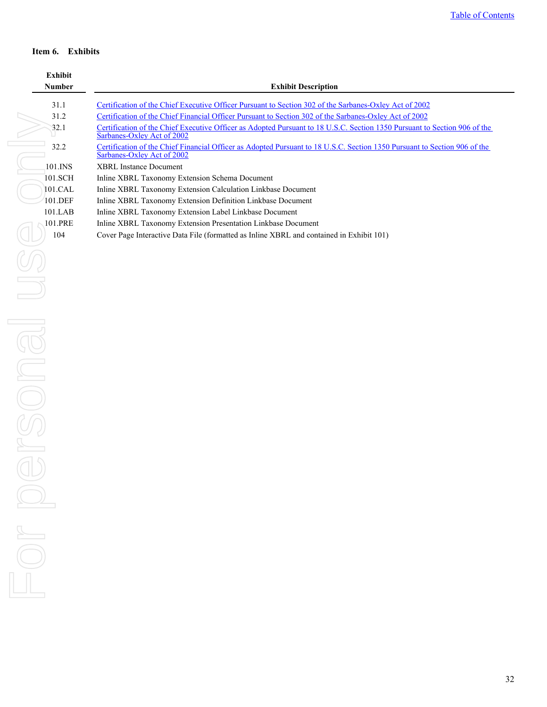### <span id="page-31-0"></span>**Item 6. Exhibits**

| <b>Exhibit</b> |                                                                                                                                                         |
|----------------|---------------------------------------------------------------------------------------------------------------------------------------------------------|
| <b>Number</b>  | <b>Exhibit Description</b>                                                                                                                              |
| 31.1           | Certification of the Chief Executive Officer Pursuant to Section 302 of the Sarbanes-Oxley Act of 2002                                                  |
| 31.2           | Certification of the Chief Financial Officer Pursuant to Section 302 of the Sarbanes-Oxley Act of 2002                                                  |
| 32.1           | Certification of the Chief Executive Officer as Adopted Pursuant to 18 U.S.C. Section 1350 Pursuant to Section 906 of the<br>Sarbanes-Oxley Act of 2002 |
| 32.2           | Certification of the Chief Financial Officer as Adopted Pursuant to 18 U.S.C. Section 1350 Pursuant to Section 906 of the<br>Sarbanes-Oxley Act of 2002 |
| 101.INS        | XBRL Instance Document                                                                                                                                  |
| 101.SCH        | Inline XBRL Taxonomy Extension Schema Document                                                                                                          |
| $101$ CAL      | Inline XBRL Taxonomy Extension Calculation Linkbase Document                                                                                            |
| 101.DEF        | Inline XBRL Taxonomy Extension Definition Linkbase Document                                                                                             |
| 101.LAB        | Inline XBRL Taxonomy Extension Label Linkbase Document                                                                                                  |
| 101.PRE        | Inline XBRL Taxonomy Extension Presentation Linkbase Document                                                                                           |
| 104            | Cover Page Interactive Data File (formatted as Inline XBRL and contained in Exhibit 101)                                                                |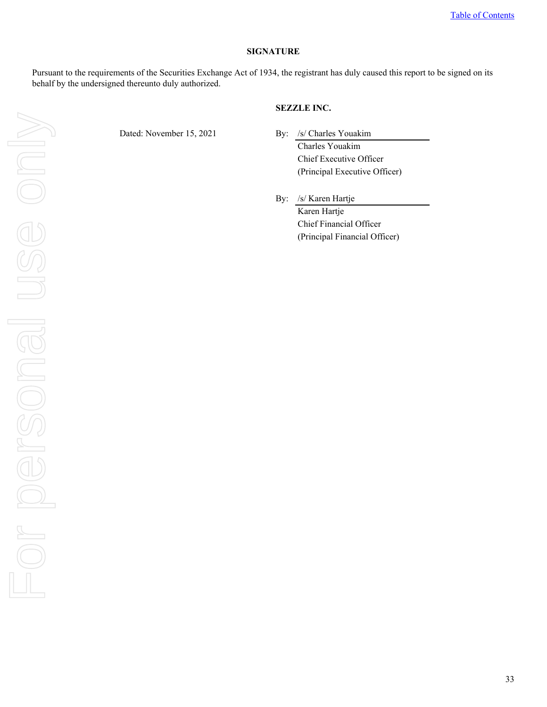#### **SIGNATURE**

<span id="page-32-0"></span>Pursuant to the requirements of the Securities Exchange Act of 1934, the registrant has duly caused this report to be signed on its behalf by the undersigned thereunto duly authorized.

### **SEZZLE INC.**

Dated: November 15, 2021 By: /s/ Charles Youakim

Charles Youakim Chief Executive Officer (Principal Executive Officer)

By: /s/ Karen Hartje Karen Hartje Chief Financial Officer (Principal Financial Officer)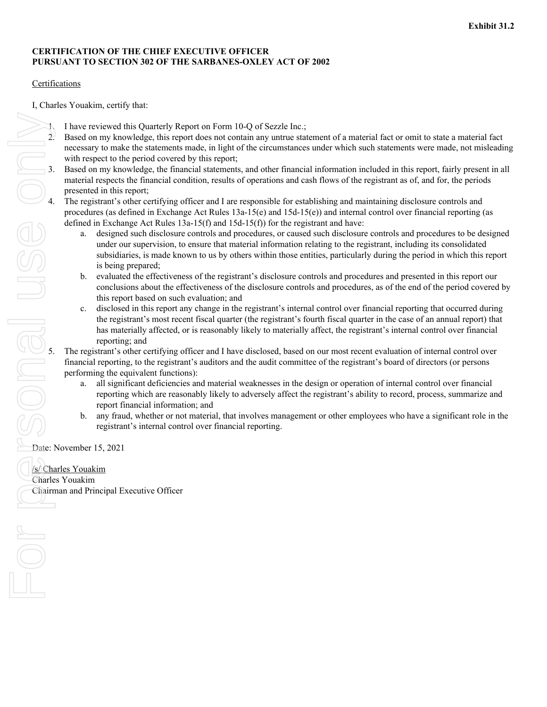# <span id="page-33-0"></span>**CERTIFICATION OF THE CHIEF EXECUTIVE OFFICER PURSUANT TO SECTION 302 OF THE SARBANES-OXLEY ACT OF 2002**

# Certifications

I, Charles Youakim, certify that:

- 1. I have reviewed this Quarterly Report on Form 10-Q of Sezzle Inc.;
- 2. Based on my knowledge, this report does not contain any untrue statement of a material fact or omit to state a material fact necessary to make the statements made, in light of the circumstances under which such statements were made, not misleading with respect to the period covered by this report;
- material respects the financial condition, results of operations and cash flows of the registrant as of, and for, the periods presented in this report;
- The registrant's other certifying officer and I are responsible for establishing and maintaining disclosure controls and procedures (as defined in Exchange Act Rules 13a-15(e) and 15d-15(e)) and internal control over financial reporting (as defined in Exchange Act Rules 13a-15(f) and 15d-15(f)) for the registrant and have:
- 3. Based on my knowledge, the financial statements, and other financial information included in this report, fairly present in all material respects the financial condition, results of operations and cash flows of the regi a. designed such disclosure controls and procedures, or caused such disclosure controls and procedures to be designed under our supervision, to ensure that material information relating to the registrant, including its consolidated subsidiaries, is made known to us by others within those entities, particularly during the period in which this report is being prepared;
	- b. evaluated the effectiveness of the registrant's disclosure controls and procedures and presented in this report our conclusions about the effectiveness of the disclosure controls and procedures, as of the end of the period covered by this report based on such evaluation; and
	- c. disclosed in this report any change in the registrant's internal control over financial reporting that occurred during the registrant's most recent fiscal quarter (the registrant's fourth fiscal quarter in the case of an annual report) that has materially affected, or is reasonably likely to materially affect, the registrant's internal control over financial reporting; and

5. The registrant's other certifying officer and I have disclosed, based on our most recent evaluation of internal control over financial reporting, to the registrant's auditors and the audit committee of the registrant's board of directors (or persons performing the equivalent functions):

- a. all significant deficiencies and material weaknesses in the design or operation of internal control over financial reporting which are reasonably likely to adversely affect the registrant's ability to record, process, summarize and report financial information; and
- b. any fraud, whether or not material, that involves management or other employees who have a significant role in the registrant's internal control over financial reporting.

Date: November 15, 2021

/s/ Charles Youakim Charles Youakim Chairman and Principal Executive Officer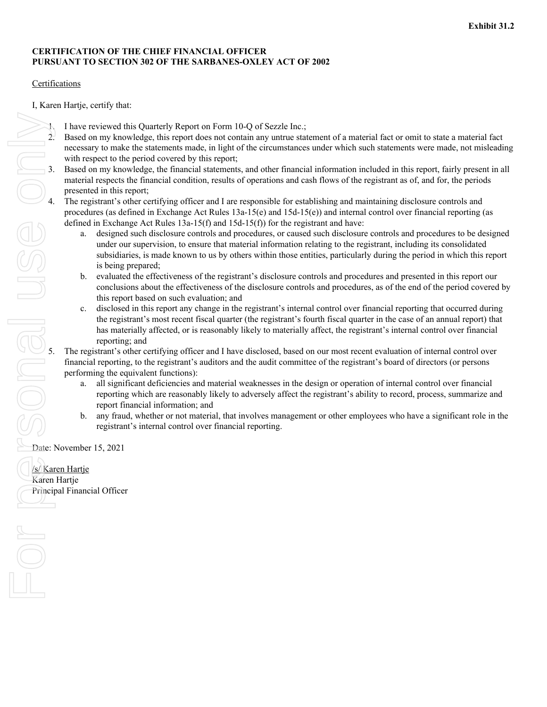# <span id="page-34-0"></span>**CERTIFICATION OF THE CHIEF FINANCIAL OFFICER PURSUANT TO SECTION 302 OF THE SARBANES-OXLEY ACT OF 2002**

# Certifications

I, Karen Hartje, certify that:

- 1. I have reviewed this Quarterly Report on Form 10-Q of Sezzle Inc.;
- 2. Based on my knowledge, this report does not contain any untrue statement of a material fact or omit to state a material fact necessary to make the statements made, in light of the circumstances under which such statements were made, not misleading with respect to the period covered by this report;
- material respects the financial condition, results of operations and cash flows of the registrant as of, and for, the periods presented in this report;
- The registrant's other certifying officer and I are responsible for establishing and maintaining disclosure controls and procedures (as defined in Exchange Act Rules 13a-15(e) and 15d-15(e)) and internal control over financial reporting (as defined in Exchange Act Rules 13a-15(f) and 15d-15(f)) for the registrant and have:
- 3. Based on my knowledge, the financial statements, and other financial information included in this report, fairly present in all material respects the financial condition, results of operations and cash flows of the regi a. designed such disclosure controls and procedures, or caused such disclosure controls and procedures to be designed under our supervision, to ensure that material information relating to the registrant, including its consolidated subsidiaries, is made known to us by others within those entities, particularly during the period in which this report is being prepared;
	- b. evaluated the effectiveness of the registrant's disclosure controls and procedures and presented in this report our conclusions about the effectiveness of the disclosure controls and procedures, as of the end of the period covered by this report based on such evaluation; and
	- c. disclosed in this report any change in the registrant's internal control over financial reporting that occurred during the registrant's most recent fiscal quarter (the registrant's fourth fiscal quarter in the case of an annual report) that has materially affected, or is reasonably likely to materially affect, the registrant's internal control over financial reporting; and

5. The registrant's other certifying officer and I have disclosed, based on our most recent evaluation of internal control over financial reporting, to the registrant's auditors and the audit committee of the registrant's board of directors (or persons performing the equivalent functions):

- a. all significant deficiencies and material weaknesses in the design or operation of internal control over financial reporting which are reasonably likely to adversely affect the registrant's ability to record, process, summarize and report financial information; and
- b. any fraud, whether or not material, that involves management or other employees who have a significant role in the registrant's internal control over financial reporting.

Date: November 15, 2021

/s/ Karen Hartje Karen Hartje Principal Financial Officer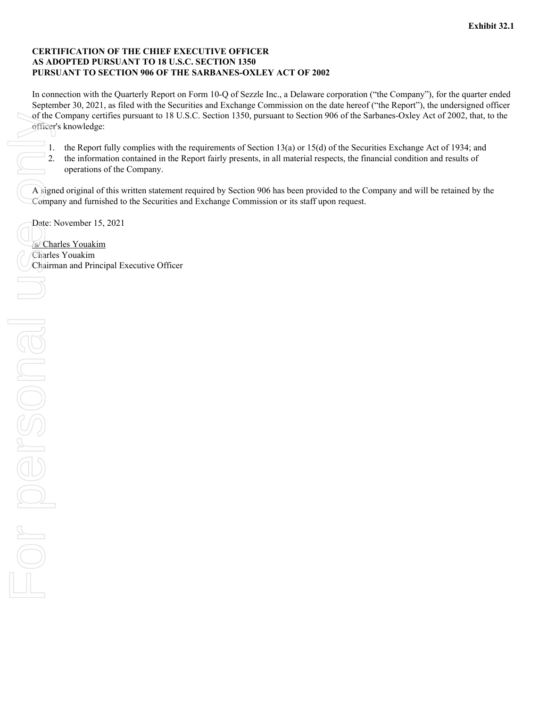### <span id="page-35-0"></span>**CERTIFICATION OF THE CHIEF EXECUTIVE OFFICER AS ADOPTED PURSUANT TO 18 U.S.C. SECTION 1350 PURSUANT TO SECTION 906 OF THE SARBANES-OXLEY ACT OF 2002**

In connection with the Quarterly Report on Form 10-Q of Sezzle Inc., a Delaware corporation ("the Company"), for the quarter ended September 30, 2021, as filed with the Securities and Exchange Commission on the date hereof ("the Report"), the undersigned officer of the Company certifies pursuant to 18 U.S.C. Section 1350, pursuant to Section 906 of the Sarbanes-Oxley Act of 2002, that, to the officer's knowledge:

- 1. the Report fully complies with the requirements of Section 13(a) or 15(d) of the Securities Exchange Act of 1934; and
- 2. the information contained in the Report fairly presents, in all material respects, the financial condition and results of operations of the Company.

A signed original of this written statement required by Section 906 has been provided to the Company and will be retained by the Company and furnished to the Securities and Exchange Commission or its staff upon request.

Date: November 15, 2021

/s/ Charles Youakim Charles Youakim Chairman and Principal Executive Officer